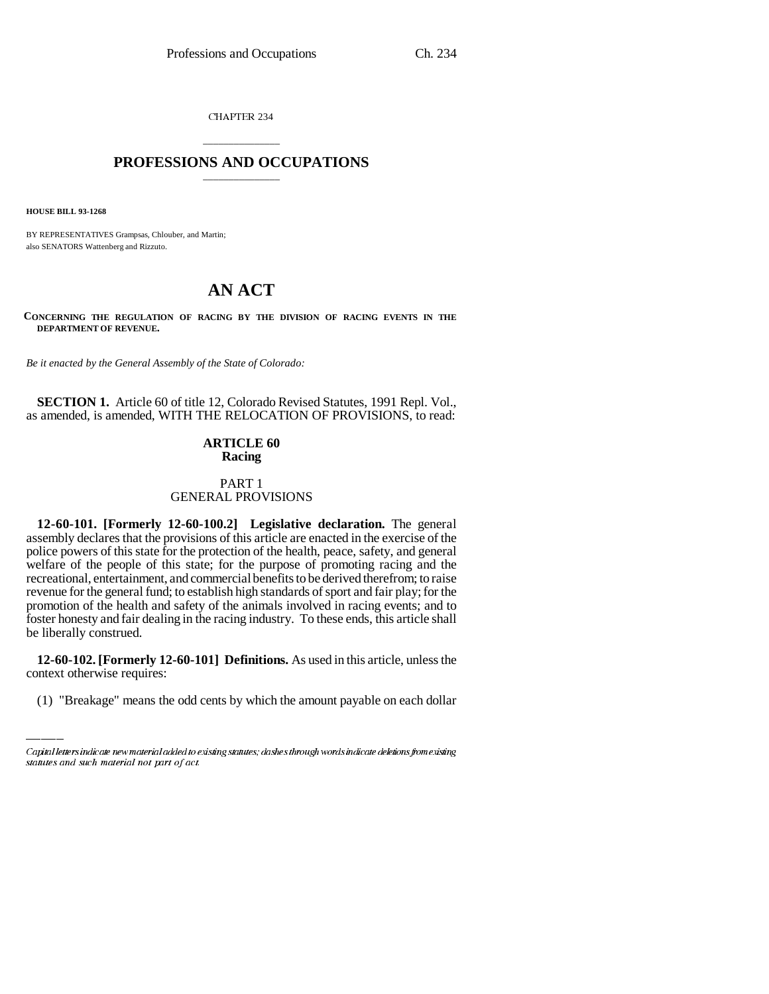CHAPTER 234

# \_\_\_\_\_\_\_\_\_\_\_\_\_\_\_ **PROFESSIONS AND OCCUPATIONS** \_\_\_\_\_\_\_\_\_\_\_\_\_\_\_

**HOUSE BILL 93-1268**

BY REPRESENTATIVES Grampsas, Chlouber, and Martin; also SENATORS Wattenberg and Rizzuto.

# **AN ACT**

**CONCERNING THE REGULATION OF RACING BY THE DIVISION OF RACING EVENTS IN THE DEPARTMENT OF REVENUE.**

*Be it enacted by the General Assembly of the State of Colorado:*

**SECTION 1.** Article 60 of title 12, Colorado Revised Statutes, 1991 Repl. Vol., as amended, is amended, WITH THE RELOCATION OF PROVISIONS, to read:

# **ARTICLE 60 Racing**

# PART 1 GENERAL PROVISIONS

**12-60-101. [Formerly 12-60-100.2] Legislative declaration.** The general assembly declares that the provisions of this article are enacted in the exercise of the police powers of this state for the protection of the health, peace, safety, and general welfare of the people of this state; for the purpose of promoting racing and the recreational, entertainment, and commercial benefits to be derived therefrom; to raise revenue for the general fund; to establish high standards of sport and fair play; for the promotion of the health and safety of the animals involved in racing events; and to foster honesty and fair dealing in the racing industry. To these ends, this article shall be liberally construed.

**12-60-102. [Formerly 12-60-101] Definitions.** As used in this article, unless the context otherwise requires:

(1) "Breakage" means the odd cents by which the amount payable on each dollar

Capital letters indicate new material added to existing statutes; dashes through words indicate deletions from existing statutes and such material not part of act.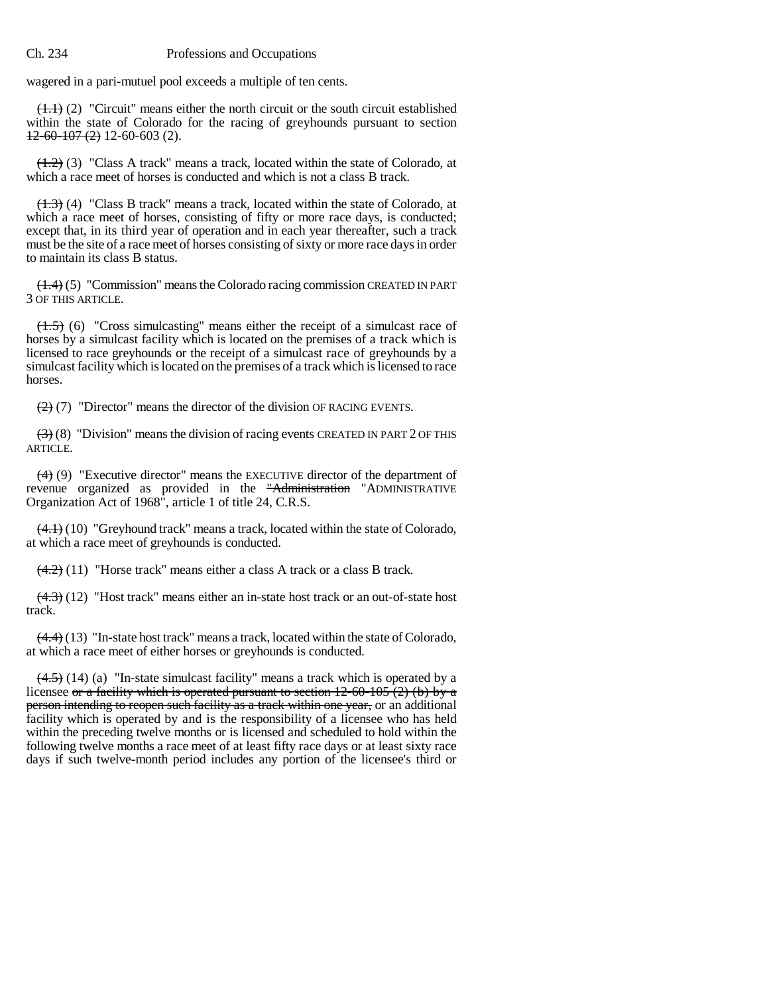wagered in a pari-mutuel pool exceeds a multiple of ten cents.

 $(1.1)$  (2) "Circuit" means either the north circuit or the south circuit established within the state of Colorado for the racing of greyhounds pursuant to section  $12-60-107(2)$  12-60-603 (2).

 $(1.2)$  (3) "Class A track" means a track, located within the state of Colorado, at which a race meet of horses is conducted and which is not a class B track.

(1.3) (4) "Class B track" means a track, located within the state of Colorado, at which a race meet of horses, consisting of fifty or more race days, is conducted; except that, in its third year of operation and in each year thereafter, such a track must be the site of a race meet of horses consisting of sixty or more race days in order to maintain its class B status.

(1.4) (5) "Commission" means the Colorado racing commission CREATED IN PART 3 OF THIS ARTICLE.

(1.5) (6) "Cross simulcasting" means either the receipt of a simulcast race of horses by a simulcast facility which is located on the premises of a track which is licensed to race greyhounds or the receipt of a simulcast race of greyhounds by a simulcast facility which is located on the premises of a track which is licensed to race horses.

 $(2)$  (7) "Director" means the director of the division OF RACING EVENTS.

 $(3)$  (8) "Division" means the division of racing events CREATED IN PART 2 OF THIS ARTICLE.

(4) (9) "Executive director" means the EXECUTIVE director of the department of revenue organized as provided in the "Administration "ADMINISTRATIVE Organization Act of 1968", article 1 of title 24, C.R.S.

 $(4.1)$  (10) "Greyhound track" means a track, located within the state of Colorado, at which a race meet of greyhounds is conducted.

 $(4.2)$  (11) "Horse track" means either a class A track or a class B track.

 $(4.3)$  (12) "Host track" means either an in-state host track or an out-of-state host track.

 $(4.4)$  (13) "In-state host track" means a track, located within the state of Colorado, at which a race meet of either horses or greyhounds is conducted.

 $(4.5)$  (14) (a) "In-state simulcast facility" means a track which is operated by a licensee or a facility which is operated pursuant to section  $12-60-105(2)$  (b) by a person intending to reopen such facility as a track within one year, or an additional facility which is operated by and is the responsibility of a licensee who has held within the preceding twelve months or is licensed and scheduled to hold within the following twelve months a race meet of at least fifty race days or at least sixty race days if such twelve-month period includes any portion of the licensee's third or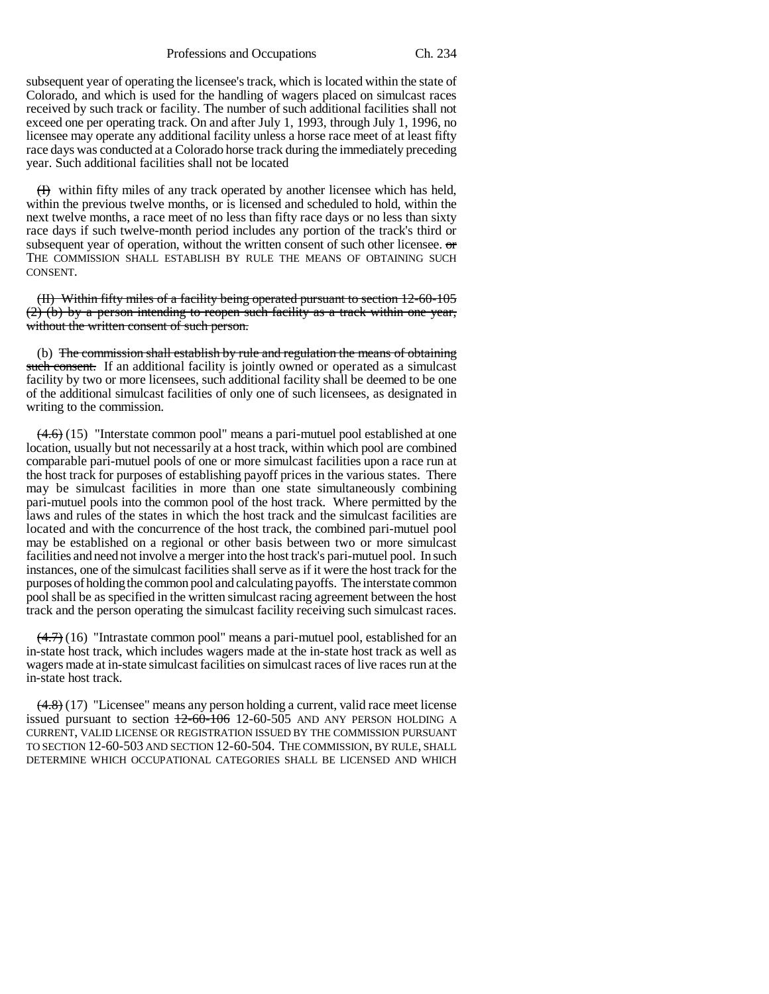Professions and Occupations Ch. 234

subsequent year of operating the licensee's track, which is located within the state of Colorado, and which is used for the handling of wagers placed on simulcast races received by such track or facility. The number of such additional facilities shall not exceed one per operating track. On and after July 1, 1993, through July 1, 1996, no licensee may operate any additional facility unless a horse race meet of at least fifty race days was conducted at a Colorado horse track during the immediately preceding year. Such additional facilities shall not be located

 $(H)$  within fifty miles of any track operated by another licensee which has held, within the previous twelve months, or is licensed and scheduled to hold, within the next twelve months, a race meet of no less than fifty race days or no less than sixty race days if such twelve-month period includes any portion of the track's third or subsequent year of operation, without the written consent of such other licensee. or THE COMMISSION SHALL ESTABLISH BY RULE THE MEANS OF OBTAINING SUCH CONSENT.

(II) Within fifty miles of a facility being operated pursuant to section 12-60-105 (2) (b) by a person intending to reopen such facility as a track within one year, without the written consent of such person.

(b) The commission shall establish by rule and regulation the means of obtaining such consent. If an additional facility is jointly owned or operated as a simulcast facility by two or more licensees, such additional facility shall be deemed to be one of the additional simulcast facilities of only one of such licensees, as designated in writing to the commission.

 $(4.6)$  (15) "Interstate common pool" means a pari-mutuel pool established at one location, usually but not necessarily at a host track, within which pool are combined comparable pari-mutuel pools of one or more simulcast facilities upon a race run at the host track for purposes of establishing payoff prices in the various states. There may be simulcast facilities in more than one state simultaneously combining pari-mutuel pools into the common pool of the host track. Where permitted by the laws and rules of the states in which the host track and the simulcast facilities are located and with the concurrence of the host track, the combined pari-mutuel pool may be established on a regional or other basis between two or more simulcast facilities and need not involve a merger into the host track's pari-mutuel pool. In such instances, one of the simulcast facilities shall serve as if it were the host track for the purposes of holding the common pool and calculating payoffs. The interstate common pool shall be as specified in the written simulcast racing agreement between the host track and the person operating the simulcast facility receiving such simulcast races.

(4.7) (16) "Intrastate common pool" means a pari-mutuel pool, established for an in-state host track, which includes wagers made at the in-state host track as well as wagers made at in-state simulcast facilities on simulcast races of live races run at the in-state host track.

 $(4.8)$  (17) "Licensee" means any person holding a current, valid race meet license issued pursuant to section  $\frac{12-60-106}{2}$  12-60-505 AND ANY PERSON HOLDING A CURRENT, VALID LICENSE OR REGISTRATION ISSUED BY THE COMMISSION PURSUANT TO SECTION 12-60-503 AND SECTION 12-60-504. THE COMMISSION, BY RULE, SHALL DETERMINE WHICH OCCUPATIONAL CATEGORIES SHALL BE LICENSED AND WHICH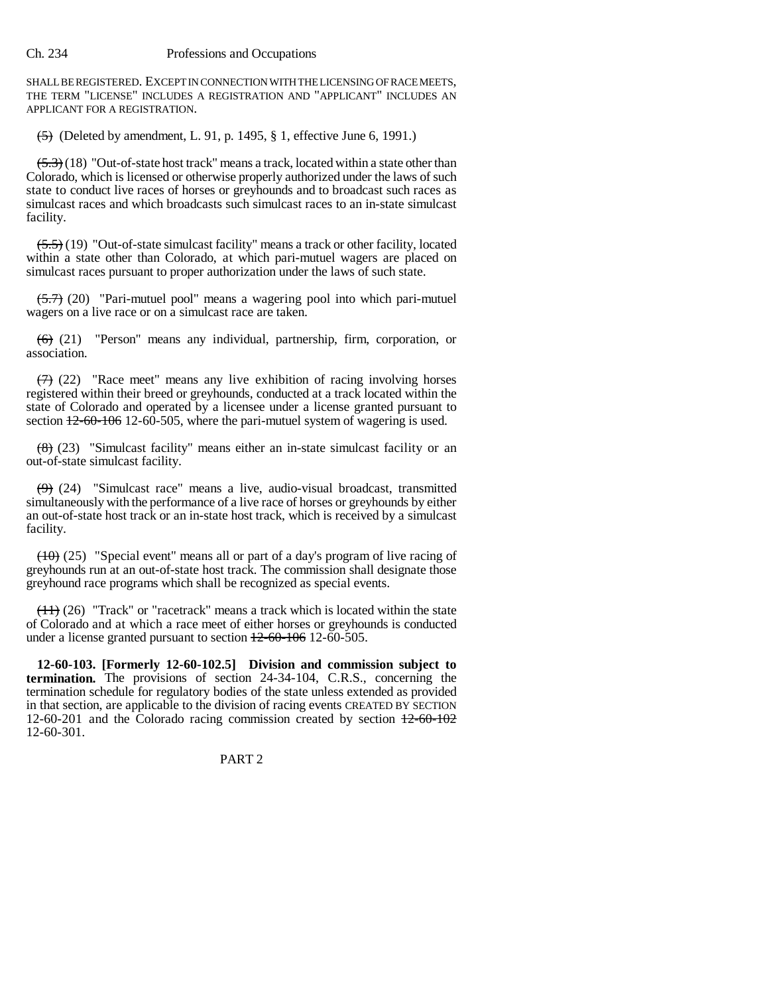SHALL BE REGISTERED. EXCEPT IN CONNECTION WITH THE LICENSING OF RACE MEETS, THE TERM "LICENSE" INCLUDES A REGISTRATION AND "APPLICANT" INCLUDES AN APPLICANT FOR A REGISTRATION.

 $\overline{(5)}$  (Deleted by amendment, L. 91, p. 1495, § 1, effective June 6, 1991.)

 $(5.3)$  (18) "Out-of-state host track" means a track, located within a state other than Colorado, which is licensed or otherwise properly authorized under the laws of such state to conduct live races of horses or greyhounds and to broadcast such races as simulcast races and which broadcasts such simulcast races to an in-state simulcast facility.

 $(5.5)$  (19) "Out-of-state simulcast facility" means a track or other facility, located within a state other than Colorado, at which pari-mutuel wagers are placed on simulcast races pursuant to proper authorization under the laws of such state.

 $(5.7)$  (20) "Pari-mutuel pool" means a wagering pool into which pari-mutuel wagers on a live race or on a simulcast race are taken.

 $(6)$  (21) "Person" means any individual, partnership, firm, corporation, or association.

 $(7)$  (22) "Race meet" means any live exhibition of racing involving horses registered within their breed or greyhounds, conducted at a track located within the state of Colorado and operated by a licensee under a license granted pursuant to section  $12-60-106$  12-60-505, where the pari-mutuel system of wagering is used.

 $(8)$  (23) "Simulcast facility" means either an in-state simulcast facility or an out-of-state simulcast facility.

 $(9)$  (24) "Simulcast race" means a live, audio-visual broadcast, transmitted simultaneously with the performance of a live race of horses or greyhounds by either an out-of-state host track or an in-state host track, which is received by a simulcast facility.

 $(10)$  (25) "Special event" means all or part of a day's program of live racing of greyhounds run at an out-of-state host track. The commission shall designate those greyhound race programs which shall be recognized as special events.

 $(11)$  (26) "Track" or "racetrack" means a track which is located within the state of Colorado and at which a race meet of either horses or greyhounds is conducted under a license granted pursuant to section  $12-60-106$  12-60-505.

**12-60-103. [Formerly 12-60-102.5] Division and commission subject to termination.** The provisions of section 24-34-104, C.R.S., concerning the termination schedule for regulatory bodies of the state unless extended as provided in that section, are applicable to the division of racing events CREATED BY SECTION 12-60-201 and the Colorado racing commission created by section  $\frac{12-60-102}{2}$ 12-60-301.

# PART 2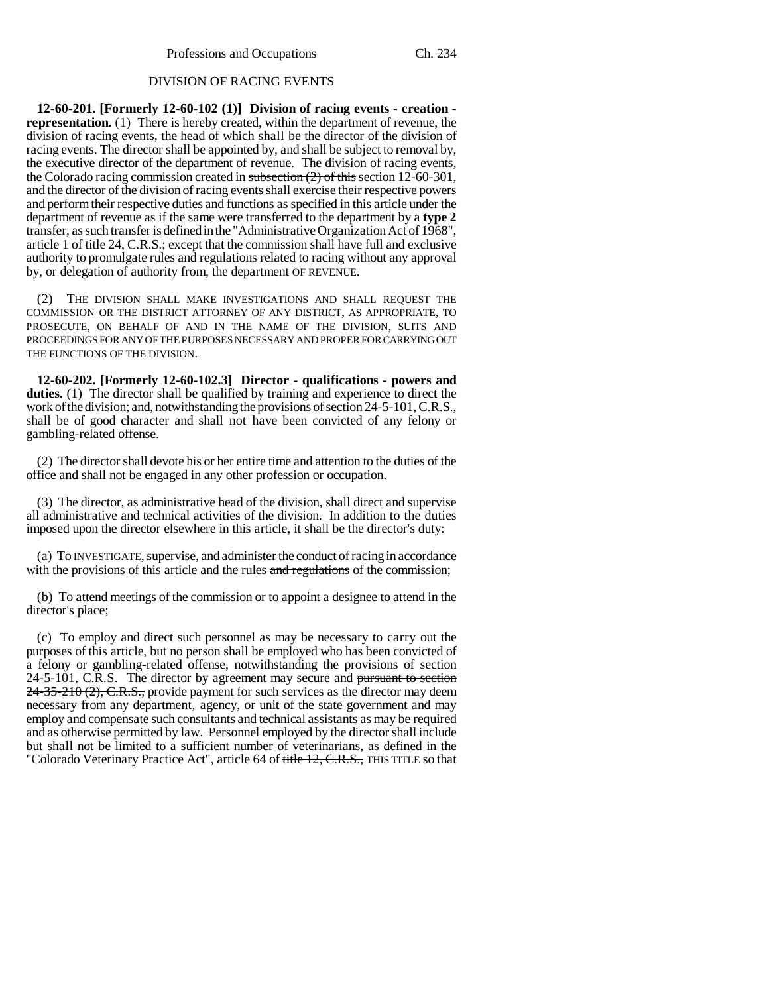## DIVISION OF RACING EVENTS

**12-60-201. [Formerly 12-60-102 (1)] Division of racing events - creation representation.** (1) There is hereby created, within the department of revenue, the division of racing events, the head of which shall be the director of the division of racing events. The director shall be appointed by, and shall be subject to removal by, the executive director of the department of revenue. The division of racing events, the Colorado racing commission created in subsection  $(2)$  of this section 12-60-301, and the director of the division of racing events shall exercise their respective powers and perform their respective duties and functions as specified in this article under the department of revenue as if the same were transferred to the department by a **type 2** transfer, as such transfer is defined in the "Administrative Organization Act of 1968", article 1 of title 24, C.R.S.; except that the commission shall have full and exclusive authority to promulgate rules and regulations related to racing without any approval by, or delegation of authority from, the department OF REVENUE.

(2) THE DIVISION SHALL MAKE INVESTIGATIONS AND SHALL REQUEST THE COMMISSION OR THE DISTRICT ATTORNEY OF ANY DISTRICT, AS APPROPRIATE, TO PROSECUTE, ON BEHALF OF AND IN THE NAME OF THE DIVISION, SUITS AND PROCEEDINGS FOR ANY OF THE PURPOSES NECESSARY AND PROPER FOR CARRYING OUT THE FUNCTIONS OF THE DIVISION.

**12-60-202. [Formerly 12-60-102.3] Director - qualifications - powers and duties.** (1) The director shall be qualified by training and experience to direct the work of the division; and, notwithstanding the provisions of section 24-5-101, C.R.S., shall be of good character and shall not have been convicted of any felony or gambling-related offense.

(2) The director shall devote his or her entire time and attention to the duties of the office and shall not be engaged in any other profession or occupation.

(3) The director, as administrative head of the division, shall direct and supervise all administrative and technical activities of the division. In addition to the duties imposed upon the director elsewhere in this article, it shall be the director's duty:

(a) To INVESTIGATE, supervise, and administer the conduct of racing in accordance with the provisions of this article and the rules and regulations of the commission;

(b) To attend meetings of the commission or to appoint a designee to attend in the director's place;

(c) To employ and direct such personnel as may be necessary to carry out the purposes of this article, but no person shall be employed who has been convicted of a felony or gambling-related offense, notwithstanding the provisions of section 24-5-101, C.R.S. The director by agreement may secure and pursuant to section  $24-35-210$  (2), C.R.S., provide payment for such services as the director may deem necessary from any department, agency, or unit of the state government and may employ and compensate such consultants and technical assistants as may be required and as otherwise permitted by law. Personnel employed by the director shall include but shall not be limited to a sufficient number of veterinarians, as defined in the "Colorado Veterinary Practice Act", article 64 of title 12, C.R.S., THIS TITLE so that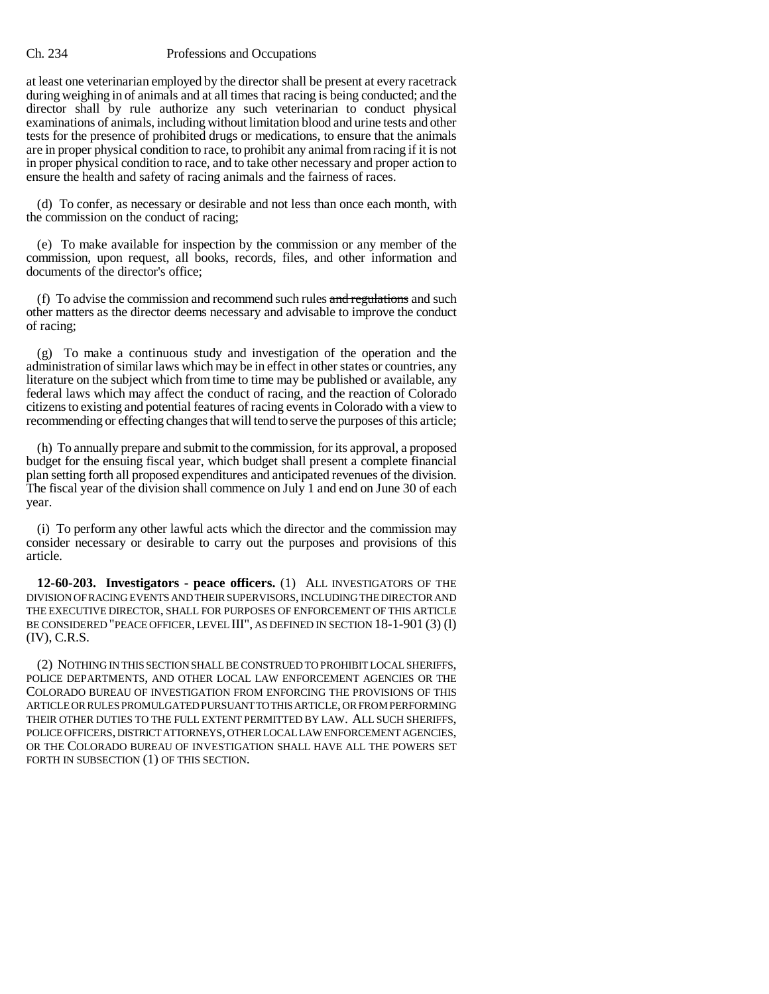at least one veterinarian employed by the director shall be present at every racetrack during weighing in of animals and at all times that racing is being conducted; and the director shall by rule authorize any such veterinarian to conduct physical examinations of animals, including without limitation blood and urine tests and other tests for the presence of prohibited drugs or medications, to ensure that the animals are in proper physical condition to race, to prohibit any animal from racing if it is not in proper physical condition to race, and to take other necessary and proper action to ensure the health and safety of racing animals and the fairness of races.

(d) To confer, as necessary or desirable and not less than once each month, with the commission on the conduct of racing;

(e) To make available for inspection by the commission or any member of the commission, upon request, all books, records, files, and other information and documents of the director's office;

(f) To advise the commission and recommend such rules and regulations and such other matters as the director deems necessary and advisable to improve the conduct of racing;

(g) To make a continuous study and investigation of the operation and the administration of similar laws which may be in effect in other states or countries, any literature on the subject which from time to time may be published or available, any federal laws which may affect the conduct of racing, and the reaction of Colorado citizens to existing and potential features of racing events in Colorado with a view to recommending or effecting changes that will tend to serve the purposes of this article;

(h) To annually prepare and submit to the commission, for its approval, a proposed budget for the ensuing fiscal year, which budget shall present a complete financial plan setting forth all proposed expenditures and anticipated revenues of the division. The fiscal year of the division shall commence on July 1 and end on June 30 of each year.

(i) To perform any other lawful acts which the director and the commission may consider necessary or desirable to carry out the purposes and provisions of this article.

**12-60-203. Investigators - peace officers.** (1) ALL INVESTIGATORS OF THE DIVISION OF RACING EVENTS AND THEIR SUPERVISORS, INCLUDING THE DIRECTOR AND THE EXECUTIVE DIRECTOR, SHALL FOR PURPOSES OF ENFORCEMENT OF THIS ARTICLE BE CONSIDERED "PEACE OFFICER, LEVEL III", AS DEFINED IN SECTION 18-1-901 (3) (l) (IV), C.R.S.

(2) NOTHING IN THIS SECTION SHALL BE CONSTRUED TO PROHIBIT LOCAL SHERIFFS, POLICE DEPARTMENTS, AND OTHER LOCAL LAW ENFORCEMENT AGENCIES OR THE COLORADO BUREAU OF INVESTIGATION FROM ENFORCING THE PROVISIONS OF THIS ARTICLE OR RULES PROMULGATED PURSUANT TO THIS ARTICLE, OR FROM PERFORMING THEIR OTHER DUTIES TO THE FULL EXTENT PERMITTED BY LAW. ALL SUCH SHERIFFS, POLICE OFFICERS, DISTRICT ATTORNEYS, OTHER LOCAL LAW ENFORCEMENT AGENCIES, OR THE COLORADO BUREAU OF INVESTIGATION SHALL HAVE ALL THE POWERS SET FORTH IN SUBSECTION (1) OF THIS SECTION.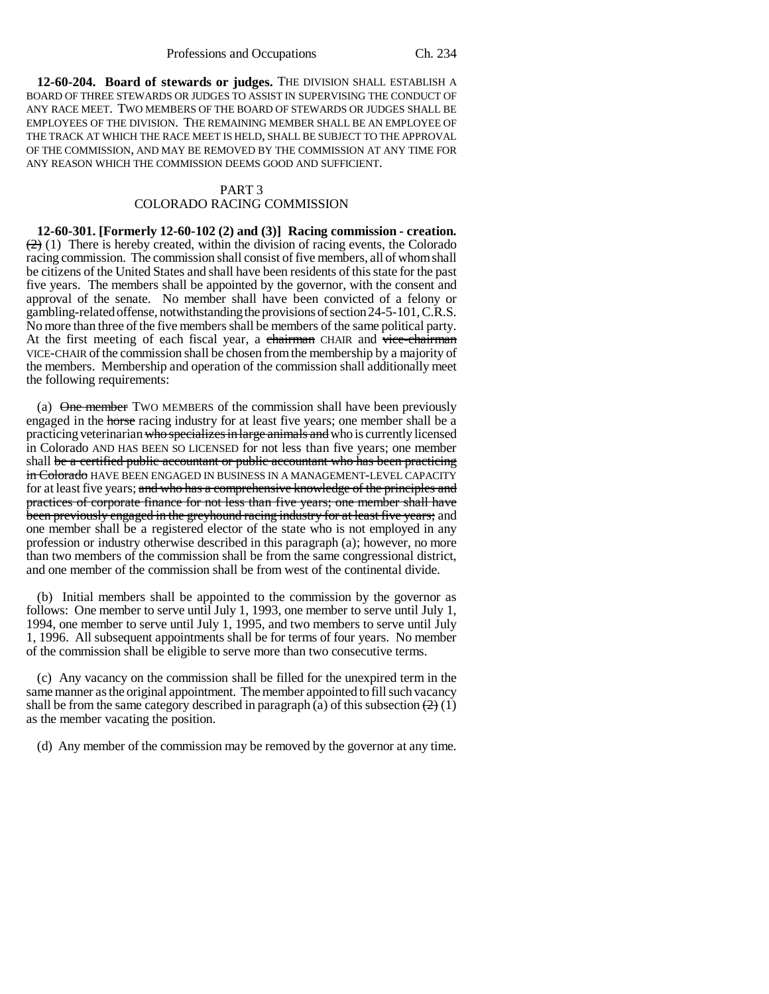**12-60-204. Board of stewards or judges.** THE DIVISION SHALL ESTABLISH A BOARD OF THREE STEWARDS OR JUDGES TO ASSIST IN SUPERVISING THE CONDUCT OF ANY RACE MEET. TWO MEMBERS OF THE BOARD OF STEWARDS OR JUDGES SHALL BE EMPLOYEES OF THE DIVISION. THE REMAINING MEMBER SHALL BE AN EMPLOYEE OF THE TRACK AT WHICH THE RACE MEET IS HELD, SHALL BE SUBJECT TO THE APPROVAL OF THE COMMISSION, AND MAY BE REMOVED BY THE COMMISSION AT ANY TIME FOR ANY REASON WHICH THE COMMISSION DEEMS GOOD AND SUFFICIENT.

## PART 3 COLORADO RACING COMMISSION

**12-60-301. [Formerly 12-60-102 (2) and (3)] Racing commission - creation.**  $(2)$  (1) There is hereby created, within the division of racing events, the Colorado racing commission. The commission shall consist of five members, all of whom shall be citizens of the United States and shall have been residents of this state for the past five years. The members shall be appointed by the governor, with the consent and approval of the senate. No member shall have been convicted of a felony or gambling-related offense, notwithstanding the provisions of section 24-5-101, C.R.S. No more than three of the five members shall be members of the same political party. At the first meeting of each fiscal year, a chairman CHAIR and vice-chairman VICE-CHAIR of the commission shall be chosen from the membership by a majority of the members. Membership and operation of the commission shall additionally meet the following requirements:

(a)  $\Theta$  member TWO MEMBERS of the commission shall have been previously engaged in the horse racing industry for at least five years; one member shall be a practicing veterinarian who specializes in large animals and who is currently licensed in Colorado AND HAS BEEN SO LICENSED for not less than five years; one member shall be a certified public accountant or public accountant who has been practicing in Colorado HAVE BEEN ENGAGED IN BUSINESS IN A MANAGEMENT-LEVEL CAPACITY for at least five years; and who has a comprehensive knowledge of the principles and practices of corporate finance for not less than five years; one member shall have been previously engaged in the greyhound racing industry for at least five years; and one member shall be a registered elector of the state who is not employed in any profession or industry otherwise described in this paragraph (a); however, no more than two members of the commission shall be from the same congressional district, and one member of the commission shall be from west of the continental divide.

(b) Initial members shall be appointed to the commission by the governor as follows: One member to serve until July 1, 1993, one member to serve until July 1, 1994, one member to serve until July 1, 1995, and two members to serve until July 1, 1996. All subsequent appointments shall be for terms of four years. No member of the commission shall be eligible to serve more than two consecutive terms.

(c) Any vacancy on the commission shall be filled for the unexpired term in the same manner as the original appointment. The member appointed to fill such vacancy shall be from the same category described in paragraph (a) of this subsection  $\left(\frac{2}{2}\right)(1)$ as the member vacating the position.

(d) Any member of the commission may be removed by the governor at any time.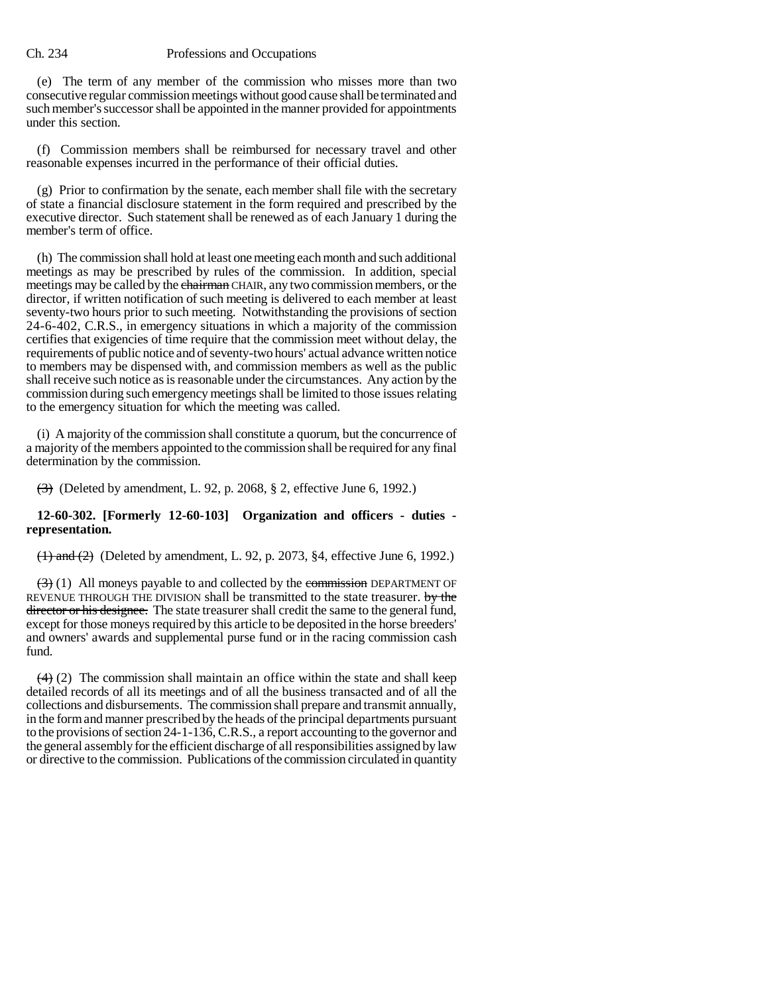(e) The term of any member of the commission who misses more than two consecutive regular commission meetings without good cause shall be terminated and such member's successor shall be appointed in the manner provided for appointments under this section.

(f) Commission members shall be reimbursed for necessary travel and other reasonable expenses incurred in the performance of their official duties.

(g) Prior to confirmation by the senate, each member shall file with the secretary of state a financial disclosure statement in the form required and prescribed by the executive director. Such statement shall be renewed as of each January 1 during the member's term of office.

(h) The commission shall hold at least one meeting each month and such additional meetings as may be prescribed by rules of the commission. In addition, special meetings may be called by the chairman CHAIR, any two commission members, or the director, if written notification of such meeting is delivered to each member at least seventy-two hours prior to such meeting. Notwithstanding the provisions of section 24-6-402, C.R.S., in emergency situations in which a majority of the commission certifies that exigencies of time require that the commission meet without delay, the requirements of public notice and of seventy-two hours' actual advance written notice to members may be dispensed with, and commission members as well as the public shall receive such notice as is reasonable under the circumstances. Any action by the commission during such emergency meetings shall be limited to those issues relating to the emergency situation for which the meeting was called.

(i) A majority of the commission shall constitute a quorum, but the concurrence of a majority of the members appointed to the commission shall be required for any final determination by the commission.

 $\leftrightarrow$  (Deleted by amendment, L. 92, p. 2068, § 2, effective June 6, 1992.)

# **12-60-302. [Formerly 12-60-103] Organization and officers - duties representation.**

 $(1)$  and  $(2)$  (Deleted by amendment, L. 92, p. 2073, §4, effective June 6, 1992.)

 $(3)$  (1) All moneys payable to and collected by the commission DEPARTMENT OF REVENUE THROUGH THE DIVISION shall be transmitted to the state treasurer. by the director or his designee. The state treasurer shall credit the same to the general fund, except for those moneys required by this article to be deposited in the horse breeders' and owners' awards and supplemental purse fund or in the racing commission cash fund.

 $(4)$  (2) The commission shall maintain an office within the state and shall keep detailed records of all its meetings and of all the business transacted and of all the collections and disbursements. The commission shall prepare and transmit annually, in the form and manner prescribed by the heads of the principal departments pursuant to the provisions of section 24-1-136, C.R.S., a report accounting to the governor and the general assembly for the efficient discharge of all responsibilities assigned by law or directive to the commission. Publications of the commission circulated in quantity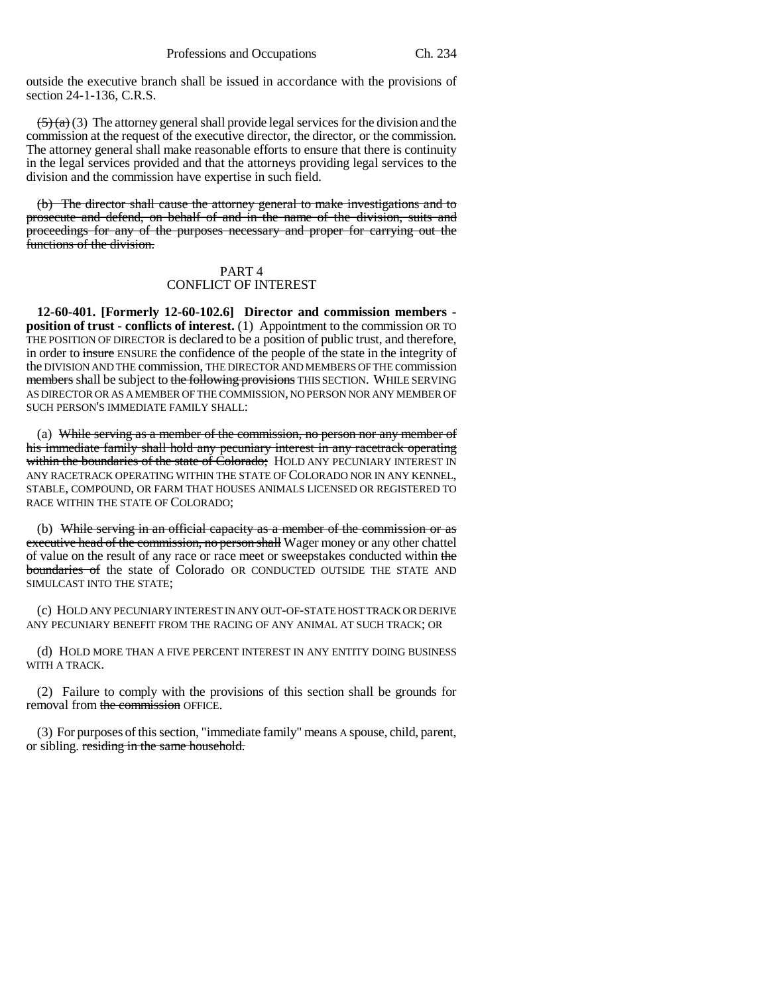outside the executive branch shall be issued in accordance with the provisions of section 24-1-136, C.R.S.

 $(5)(a)(3)$  The attorney general shall provide legal services for the division and the commission at the request of the executive director, the director, or the commission. The attorney general shall make reasonable efforts to ensure that there is continuity in the legal services provided and that the attorneys providing legal services to the division and the commission have expertise in such field.

(b) The director shall cause the attorney general to make investigations and to prosecute and defend, on behalf of and in the name of the division, suits and proceedings for any of the purposes necessary and proper for carrying out the functions of the division.

# PART 4 CONFLICT OF INTEREST

**12-60-401. [Formerly 12-60-102.6] Director and commission members position of trust - conflicts of interest.** (1) Appointment to the commission OR TO THE POSITION OF DIRECTOR is declared to be a position of public trust, and therefore, in order to insure ENSURE the confidence of the people of the state in the integrity of the DIVISION AND THE commission, THE DIRECTOR AND MEMBERS OF THE commission members shall be subject to the following provisions THIS SECTION. WHILE SERVING AS DIRECTOR OR AS A MEMBER OF THE COMMISSION, NO PERSON NOR ANY MEMBER OF SUCH PERSON'S IMMEDIATE FAMILY SHALL:

(a) While serving as a member of the commission, no person nor any member of his immediate family shall hold any pecuniary interest in any racetrack operating within the boundaries of the state of Colorado; HOLD ANY PECUNIARY INTEREST IN ANY RACETRACK OPERATING WITHIN THE STATE OF COLORADO NOR IN ANY KENNEL, STABLE, COMPOUND, OR FARM THAT HOUSES ANIMALS LICENSED OR REGISTERED TO RACE WITHIN THE STATE OF COLORADO;

(b) While serving in an official capacity as a member of the commission or as executive head of the commission, no person shall Wager money or any other chattel of value on the result of any race or race meet or sweepstakes conducted within the boundaries of the state of Colorado OR CONDUCTED OUTSIDE THE STATE AND SIMULCAST INTO THE STATE;

(c) HOLD ANY PECUNIARY INTEREST IN ANY OUT-OF-STATE HOST TRACK OR DERIVE ANY PECUNIARY BENEFIT FROM THE RACING OF ANY ANIMAL AT SUCH TRACK; OR

(d) HOLD MORE THAN A FIVE PERCENT INTEREST IN ANY ENTITY DOING BUSINESS WITH A TRACK.

(2) Failure to comply with the provisions of this section shall be grounds for removal from the commission OFFICE.

(3) For purposes of this section, "immediate family" means A spouse, child, parent, or sibling. residing in the same household.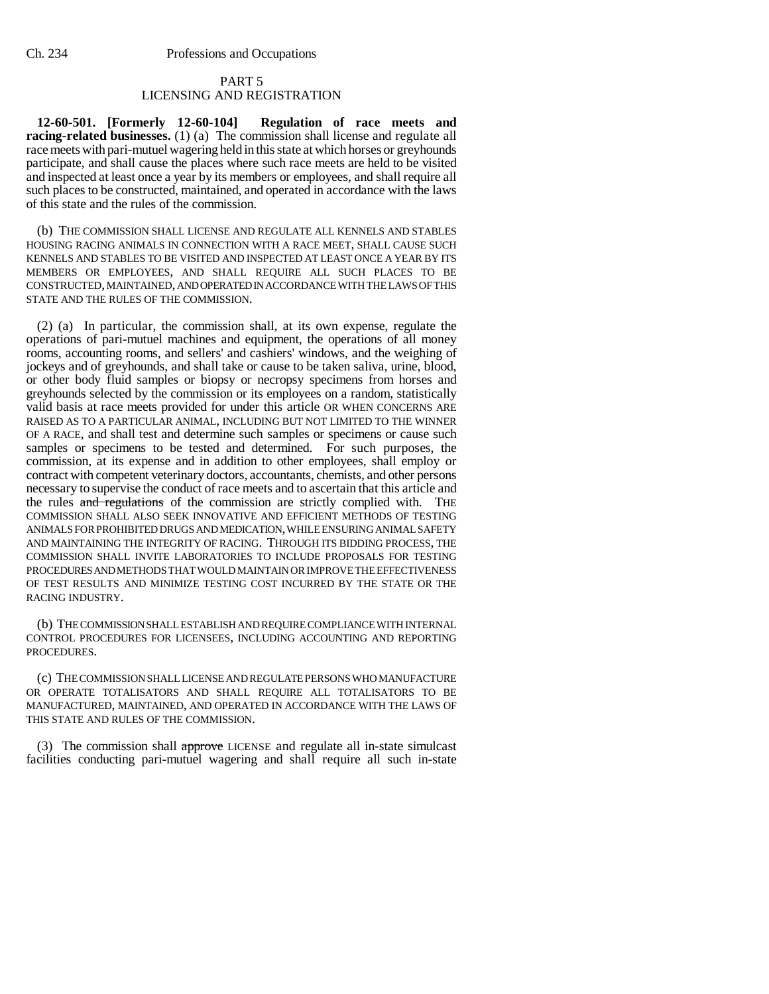## PART 5 LICENSING AND REGISTRATION

**12-60-501. [Formerly 12-60-104] Regulation of race meets and racing-related businesses.** (1) (a) The commission shall license and regulate all race meets with pari-mutuel wagering held in this state at which horses or greyhounds participate, and shall cause the places where such race meets are held to be visited and inspected at least once a year by its members or employees, and shall require all such places to be constructed, maintained, and operated in accordance with the laws of this state and the rules of the commission.

(b) THE COMMISSION SHALL LICENSE AND REGULATE ALL KENNELS AND STABLES HOUSING RACING ANIMALS IN CONNECTION WITH A RACE MEET, SHALL CAUSE SUCH KENNELS AND STABLES TO BE VISITED AND INSPECTED AT LEAST ONCE A YEAR BY ITS MEMBERS OR EMPLOYEES, AND SHALL REQUIRE ALL SUCH PLACES TO BE CONSTRUCTED, MAINTAINED, AND OPERATED IN ACCORDANCE WITH THE LAWS OF THIS STATE AND THE RULES OF THE COMMISSION.

(2) (a) In particular, the commission shall, at its own expense, regulate the operations of pari-mutuel machines and equipment, the operations of all money rooms, accounting rooms, and sellers' and cashiers' windows, and the weighing of jockeys and of greyhounds, and shall take or cause to be taken saliva, urine, blood, or other body fluid samples or biopsy or necropsy specimens from horses and greyhounds selected by the commission or its employees on a random, statistically valid basis at race meets provided for under this article OR WHEN CONCERNS ARE RAISED AS TO A PARTICULAR ANIMAL, INCLUDING BUT NOT LIMITED TO THE WINNER OF A RACE, and shall test and determine such samples or specimens or cause such samples or specimens to be tested and determined. For such purposes, the commission, at its expense and in addition to other employees, shall employ or contract with competent veterinary doctors, accountants, chemists, and other persons necessary to supervise the conduct of race meets and to ascertain that this article and the rules and regulations of the commission are strictly complied with. THE COMMISSION SHALL ALSO SEEK INNOVATIVE AND EFFICIENT METHODS OF TESTING ANIMALS FOR PROHIBITED DRUGS AND MEDICATION, WHILE ENSURING ANIMAL SAFETY AND MAINTAINING THE INTEGRITY OF RACING. THROUGH ITS BIDDING PROCESS, THE COMMISSION SHALL INVITE LABORATORIES TO INCLUDE PROPOSALS FOR TESTING PROCEDURES AND METHODS THAT WOULD MAINTAIN OR IMPROVE THE EFFECTIVENESS OF TEST RESULTS AND MINIMIZE TESTING COST INCURRED BY THE STATE OR THE RACING INDUSTRY.

(b) THE COMMISSION SHALL ESTABLISH AND REQUIRE COMPLIANCE WITH INTERNAL CONTROL PROCEDURES FOR LICENSEES, INCLUDING ACCOUNTING AND REPORTING PROCEDURES.

(c) THE COMMISSION SHALL LICENSE AND REGULATE PERSONS WHO MANUFACTURE OR OPERATE TOTALISATORS AND SHALL REQUIRE ALL TOTALISATORS TO BE MANUFACTURED, MAINTAINED, AND OPERATED IN ACCORDANCE WITH THE LAWS OF THIS STATE AND RULES OF THE COMMISSION.

(3) The commission shall approve LICENSE and regulate all in-state simulcast facilities conducting pari-mutuel wagering and shall require all such in-state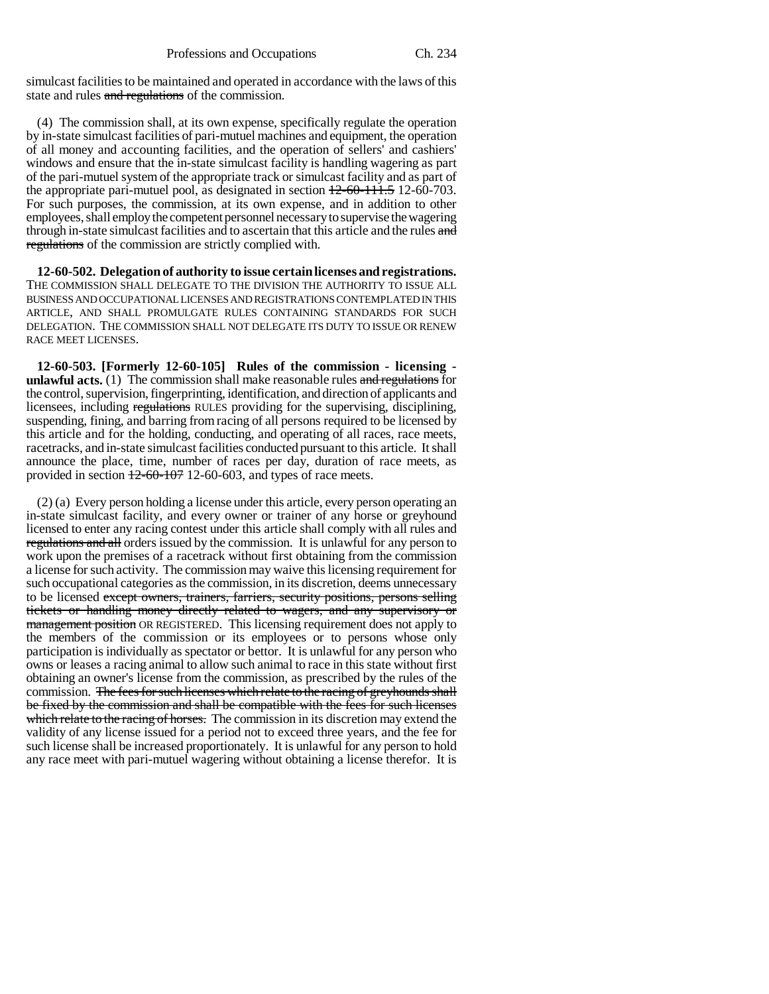simulcast facilities to be maintained and operated in accordance with the laws of this state and rules and regulations of the commission.

(4) The commission shall, at its own expense, specifically regulate the operation by in-state simulcast facilities of pari-mutuel machines and equipment, the operation of all money and accounting facilities, and the operation of sellers' and cashiers' windows and ensure that the in-state simulcast facility is handling wagering as part of the pari-mutuel system of the appropriate track or simulcast facility and as part of the appropriate pari-mutuel pool, as designated in section  $\frac{12-60-111.5}{20}$  12-60-703. For such purposes, the commission, at its own expense, and in addition to other employees, shall employ the competent personnel necessary to supervise the wagering through in-state simulcast facilities and to ascertain that this article and the rules and regulations of the commission are strictly complied with.

**12-60-502. Delegation of authority to issue certain licenses and registrations.** THE COMMISSION SHALL DELEGATE TO THE DIVISION THE AUTHORITY TO ISSUE ALL BUSINESS AND OCCUPATIONAL LICENSES AND REGISTRATIONS CONTEMPLATED IN THIS ARTICLE, AND SHALL PROMULGATE RULES CONTAINING STANDARDS FOR SUCH DELEGATION. THE COMMISSION SHALL NOT DELEGATE ITS DUTY TO ISSUE OR RENEW RACE MEET LICENSES.

**12-60-503. [Formerly 12-60-105] Rules of the commission - licensing unlawful acts.** (1) The commission shall make reasonable rules and regulations for the control, supervision, fingerprinting, identification, and direction of applicants and licensees, including regulations RULES providing for the supervising, disciplining, suspending, fining, and barring from racing of all persons required to be licensed by this article and for the holding, conducting, and operating of all races, race meets, racetracks, and in-state simulcast facilities conducted pursuant to this article. It shall announce the place, time, number of races per day, duration of race meets, as provided in section 12-60-107 12-60-603, and types of race meets.

(2) (a) Every person holding a license under this article, every person operating an in-state simulcast facility, and every owner or trainer of any horse or greyhound licensed to enter any racing contest under this article shall comply with all rules and regulations and all orders issued by the commission. It is unlawful for any person to work upon the premises of a racetrack without first obtaining from the commission a license for such activity. The commission may waive this licensing requirement for such occupational categories as the commission, in its discretion, deems unnecessary to be licensed except owners, trainers, farriers, security positions, persons selling tickets or handling money directly related to wagers, and any supervisory or management position OR REGISTERED. This licensing requirement does not apply to the members of the commission or its employees or to persons whose only participation is individually as spectator or bettor. It is unlawful for any person who owns or leases a racing animal to allow such animal to race in this state without first obtaining an owner's license from the commission, as prescribed by the rules of the commission. The fees for such licenses which relate to the racing of greyhounds shall be fixed by the commission and shall be compatible with the fees for such licenses which relate to the racing of horses. The commission in its discretion may extend the validity of any license issued for a period not to exceed three years, and the fee for such license shall be increased proportionately. It is unlawful for any person to hold any race meet with pari-mutuel wagering without obtaining a license therefor. It is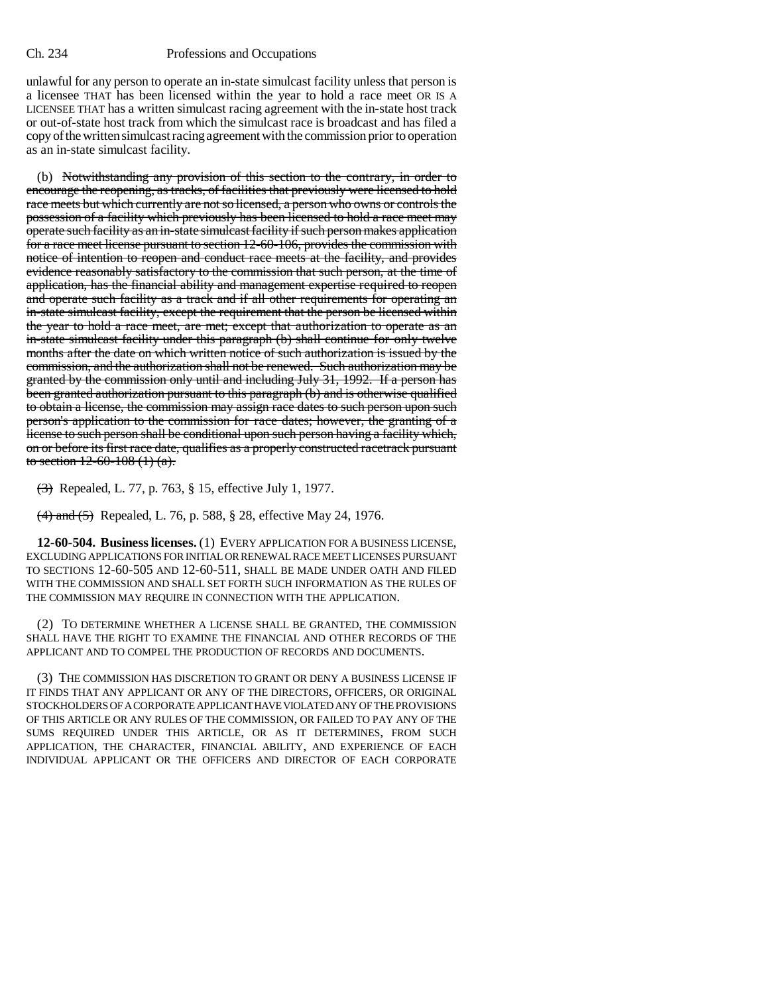unlawful for any person to operate an in-state simulcast facility unless that person is a licensee THAT has been licensed within the year to hold a race meet OR IS A LICENSEE THAT has a written simulcast racing agreement with the in-state host track or out-of-state host track from which the simulcast race is broadcast and has filed a copy of the written simulcast racing agreement with the commission prior to operation as an in-state simulcast facility.

(b) Notwithstanding any provision of this section to the contrary, in order to encourage the reopening, as tracks, of facilities that previously were licensed to hold race meets but which currently are not so licensed, a person who owns or controls the possession of a facility which previously has been licensed to hold a race meet may operate such facility as an in-state simulcast facility if such person makes application for a race meet license pursuant to section 12-60-106, provides the commission with notice of intention to reopen and conduct race meets at the facility, and provides evidence reasonably satisfactory to the commission that such person, at the time of application, has the financial ability and management expertise required to reopen and operate such facility as a track and if all other requirements for operating an in-state simulcast facility, except the requirement that the person be licensed within the year to hold a race meet, are met; except that authorization to operate as an in-state simulcast facility under this paragraph (b) shall continue for only twelve months after the date on which written notice of such authorization is issued by the commission, and the authorization shall not be renewed. Such authorization may be granted by the commission only until and including July 31, 1992. If a person has been granted authorization pursuant to this paragraph (b) and is otherwise qualified to obtain a license, the commission may assign race dates to such person upon such person's application to the commission for race dates; however, the granting of a license to such person shall be conditional upon such person having a facility which, on or before its first race date, qualifies as a properly constructed racetrack pursuant to section  $12-60-108(1)(a)$ .

(3) Repealed, L. 77, p. 763, § 15, effective July 1, 1977.

(4) and (5) Repealed, L. 76, p. 588, § 28, effective May 24, 1976.

**12-60-504. Business licenses.** (1) EVERY APPLICATION FOR A BUSINESS LICENSE, EXCLUDING APPLICATIONS FOR INITIAL OR RENEWAL RACE MEET LICENSES PURSUANT TO SECTIONS 12-60-505 AND 12-60-511, SHALL BE MADE UNDER OATH AND FILED WITH THE COMMISSION AND SHALL SET FORTH SUCH INFORMATION AS THE RULES OF THE COMMISSION MAY REQUIRE IN CONNECTION WITH THE APPLICATION.

(2) TO DETERMINE WHETHER A LICENSE SHALL BE GRANTED, THE COMMISSION SHALL HAVE THE RIGHT TO EXAMINE THE FINANCIAL AND OTHER RECORDS OF THE APPLICANT AND TO COMPEL THE PRODUCTION OF RECORDS AND DOCUMENTS.

(3) THE COMMISSION HAS DISCRETION TO GRANT OR DENY A BUSINESS LICENSE IF IT FINDS THAT ANY APPLICANT OR ANY OF THE DIRECTORS, OFFICERS, OR ORIGINAL STOCKHOLDERS OF A CORPORATE APPLICANT HAVE VIOLATED ANY OF THE PROVISIONS OF THIS ARTICLE OR ANY RULES OF THE COMMISSION, OR FAILED TO PAY ANY OF THE SUMS REQUIRED UNDER THIS ARTICLE, OR AS IT DETERMINES, FROM SUCH APPLICATION, THE CHARACTER, FINANCIAL ABILITY, AND EXPERIENCE OF EACH INDIVIDUAL APPLICANT OR THE OFFICERS AND DIRECTOR OF EACH CORPORATE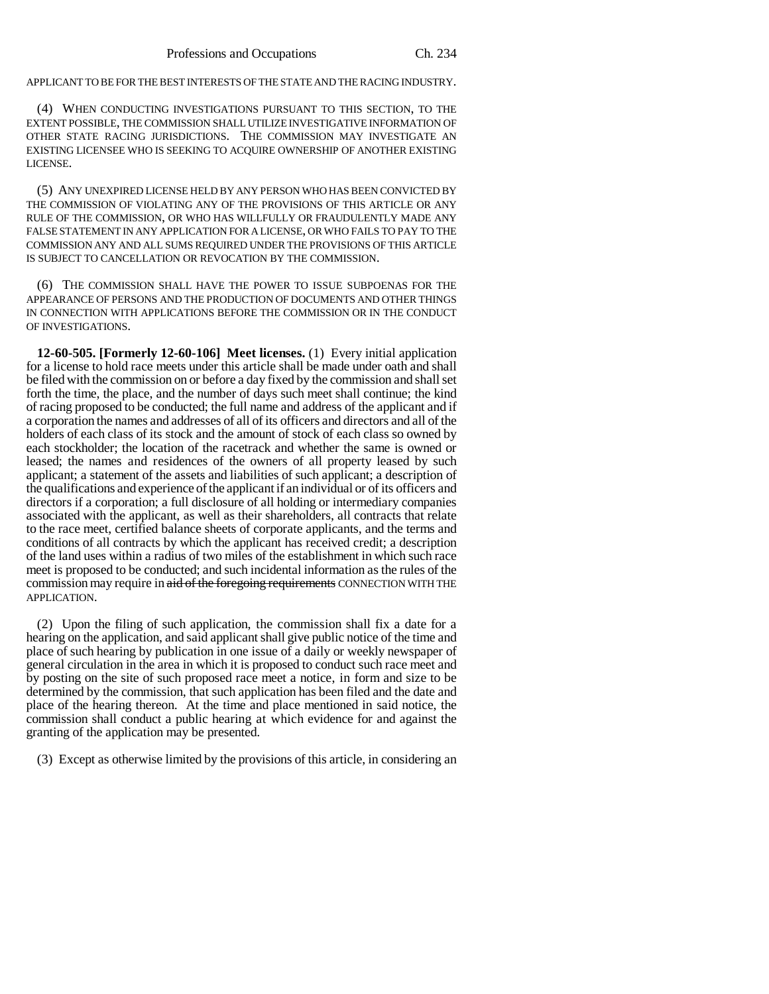APPLICANT TO BE FOR THE BEST INTERESTS OF THE STATE AND THE RACING INDUSTRY.

(4) WHEN CONDUCTING INVESTIGATIONS PURSUANT TO THIS SECTION, TO THE EXTENT POSSIBLE, THE COMMISSION SHALL UTILIZE INVESTIGATIVE INFORMATION OF OTHER STATE RACING JURISDICTIONS. THE COMMISSION MAY INVESTIGATE AN EXISTING LICENSEE WHO IS SEEKING TO ACQUIRE OWNERSHIP OF ANOTHER EXISTING LICENSE.

(5) ANY UNEXPIRED LICENSE HELD BY ANY PERSON WHO HAS BEEN CONVICTED BY THE COMMISSION OF VIOLATING ANY OF THE PROVISIONS OF THIS ARTICLE OR ANY RULE OF THE COMMISSION, OR WHO HAS WILLFULLY OR FRAUDULENTLY MADE ANY FALSE STATEMENT IN ANY APPLICATION FOR A LICENSE, OR WHO FAILS TO PAY TO THE COMMISSION ANY AND ALL SUMS REQUIRED UNDER THE PROVISIONS OF THIS ARTICLE IS SUBJECT TO CANCELLATION OR REVOCATION BY THE COMMISSION.

(6) THE COMMISSION SHALL HAVE THE POWER TO ISSUE SUBPOENAS FOR THE APPEARANCE OF PERSONS AND THE PRODUCTION OF DOCUMENTS AND OTHER THINGS IN CONNECTION WITH APPLICATIONS BEFORE THE COMMISSION OR IN THE CONDUCT OF INVESTIGATIONS.

**12-60-505. [Formerly 12-60-106] Meet licenses.** (1) Every initial application for a license to hold race meets under this article shall be made under oath and shall be filed with the commission on or before a day fixed by the commission and shall set forth the time, the place, and the number of days such meet shall continue; the kind of racing proposed to be conducted; the full name and address of the applicant and if a corporation the names and addresses of all of its officers and directors and all of the holders of each class of its stock and the amount of stock of each class so owned by each stockholder; the location of the racetrack and whether the same is owned or leased; the names and residences of the owners of all property leased by such applicant; a statement of the assets and liabilities of such applicant; a description of the qualifications and experience of the applicant if an individual or of its officers and directors if a corporation; a full disclosure of all holding or intermediary companies associated with the applicant, as well as their shareholders, all contracts that relate to the race meet, certified balance sheets of corporate applicants, and the terms and conditions of all contracts by which the applicant has received credit; a description of the land uses within a radius of two miles of the establishment in which such race meet is proposed to be conducted; and such incidental information as the rules of the commission may require in aid of the foregoing requirements CONNECTION WITH THE APPLICATION.

(2) Upon the filing of such application, the commission shall fix a date for a hearing on the application, and said applicant shall give public notice of the time and place of such hearing by publication in one issue of a daily or weekly newspaper of general circulation in the area in which it is proposed to conduct such race meet and by posting on the site of such proposed race meet a notice, in form and size to be determined by the commission, that such application has been filed and the date and place of the hearing thereon. At the time and place mentioned in said notice, the commission shall conduct a public hearing at which evidence for and against the granting of the application may be presented.

(3) Except as otherwise limited by the provisions of this article, in considering an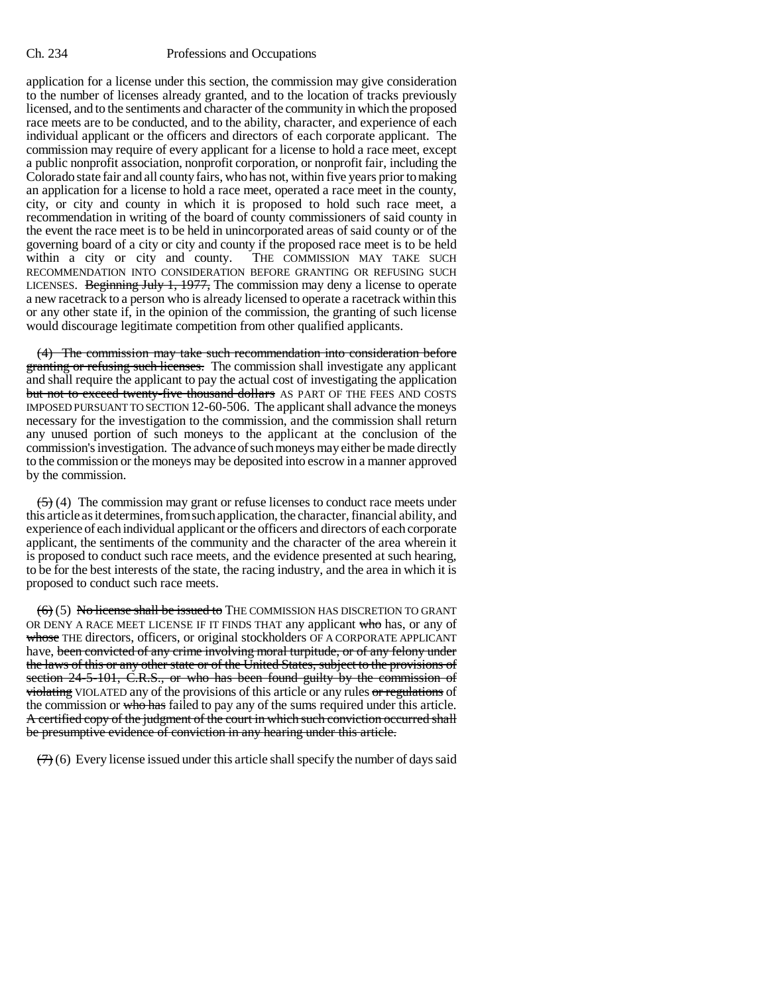application for a license under this section, the commission may give consideration to the number of licenses already granted, and to the location of tracks previously licensed, and to the sentiments and character of the community in which the proposed race meets are to be conducted, and to the ability, character, and experience of each individual applicant or the officers and directors of each corporate applicant. The commission may require of every applicant for a license to hold a race meet, except a public nonprofit association, nonprofit corporation, or nonprofit fair, including the Colorado state fair and all county fairs, who has not, within five years prior to making an application for a license to hold a race meet, operated a race meet in the county, city, or city and county in which it is proposed to hold such race meet, a recommendation in writing of the board of county commissioners of said county in the event the race meet is to be held in unincorporated areas of said county or of the governing board of a city or city and county if the proposed race meet is to be held within a city or city and county. THE COMMISSION MAY TAKE SUCH RECOMMENDATION INTO CONSIDERATION BEFORE GRANTING OR REFUSING SUCH LICENSES. Beginning July 1, 1977, The commission may deny a license to operate a new racetrack to a person who is already licensed to operate a racetrack within this or any other state if, in the opinion of the commission, the granting of such license would discourage legitimate competition from other qualified applicants.

(4) The commission may take such recommendation into consideration before granting or refusing such licenses. The commission shall investigate any applicant and shall require the applicant to pay the actual cost of investigating the application but not to exceed twenty-five thousand dollars AS PART OF THE FEES AND COSTS IMPOSED PURSUANT TO SECTION 12-60-506. The applicant shall advance the moneys necessary for the investigation to the commission, and the commission shall return any unused portion of such moneys to the applicant at the conclusion of the commission's investigation. The advance of such moneys may either be made directly to the commission or the moneys may be deposited into escrow in a manner approved by the commission.

 $(5)$  (4) The commission may grant or refuse licenses to conduct race meets under this article as it determines, from such application, the character, financial ability, and experience of each individual applicant or the officers and directors of each corporate applicant, the sentiments of the community and the character of the area wherein it is proposed to conduct such race meets, and the evidence presented at such hearing, to be for the best interests of the state, the racing industry, and the area in which it is proposed to conduct such race meets.

 $(6)$  (5) No license shall be issued to THE COMMISSION HAS DISCRETION TO GRANT OR DENY A RACE MEET LICENSE IF IT FINDS THAT any applicant who has, or any of whose THE directors, officers, or original stockholders OF A CORPORATE APPLICANT have, been convicted of any crime involving moral turpitude, or of any felony under the laws of this or any other state or of the United States, subject to the provisions of section 24-5-101, C.R.S., or who has been found guilty by the commission of violating VIOLATED any of the provisions of this article or any rules or regulations of the commission or who has failed to pay any of the sums required under this article. A certified copy of the judgment of the court in which such conviction occurred shall be presumptive evidence of conviction in any hearing under this article.

 $(7)$  (6) Every license issued under this article shall specify the number of days said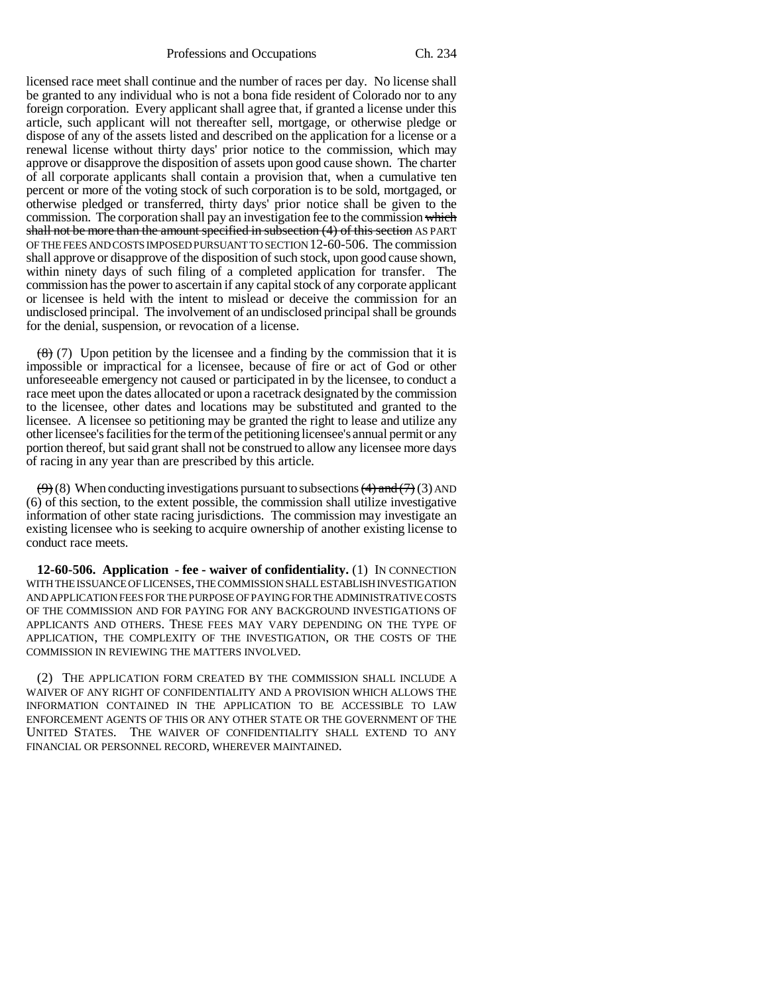Professions and Occupations Ch. 234

licensed race meet shall continue and the number of races per day. No license shall be granted to any individual who is not a bona fide resident of Colorado nor to any foreign corporation. Every applicant shall agree that, if granted a license under this article, such applicant will not thereafter sell, mortgage, or otherwise pledge or dispose of any of the assets listed and described on the application for a license or a renewal license without thirty days' prior notice to the commission, which may approve or disapprove the disposition of assets upon good cause shown. The charter of all corporate applicants shall contain a provision that, when a cumulative ten percent or more of the voting stock of such corporation is to be sold, mortgaged, or otherwise pledged or transferred, thirty days' prior notice shall be given to the commission. The corporation shall pay an investigation fee to the commission which shall not be more than the amount specified in subsection (4) of this section AS PART OF THE FEES AND COSTS IMPOSED PURSUANT TO SECTION 12-60-506. The commission shall approve or disapprove of the disposition of such stock, upon good cause shown, within ninety days of such filing of a completed application for transfer. The commission has the power to ascertain if any capital stock of any corporate applicant or licensee is held with the intent to mislead or deceive the commission for an undisclosed principal. The involvement of an undisclosed principal shall be grounds for the denial, suspension, or revocation of a license.

 $(8)$  (7) Upon petition by the licensee and a finding by the commission that it is impossible or impractical for a licensee, because of fire or act of God or other unforeseeable emergency not caused or participated in by the licensee, to conduct a race meet upon the dates allocated or upon a racetrack designated by the commission to the licensee, other dates and locations may be substituted and granted to the licensee. A licensee so petitioning may be granted the right to lease and utilize any other licensee's facilities for the term of the petitioning licensee's annual permit or any portion thereof, but said grant shall not be construed to allow any licensee more days of racing in any year than are prescribed by this article.

 $(9)$  (8) When conducting investigations pursuant to subsections  $(4)$  and  $(7)$  (3) AND (6) of this section, to the extent possible, the commission shall utilize investigative information of other state racing jurisdictions. The commission may investigate an existing licensee who is seeking to acquire ownership of another existing license to conduct race meets.

**12-60-506. Application - fee - waiver of confidentiality.** (1) IN CONNECTION WITH THE ISSUANCE OF LICENSES, THE COMMISSION SHALL ESTABLISH INVESTIGATION AND APPLICATION FEES FOR THE PURPOSE OF PAYING FOR THE ADMINISTRATIVE COSTS OF THE COMMISSION AND FOR PAYING FOR ANY BACKGROUND INVESTIGATIONS OF APPLICANTS AND OTHERS. THESE FEES MAY VARY DEPENDING ON THE TYPE OF APPLICATION, THE COMPLEXITY OF THE INVESTIGATION, OR THE COSTS OF THE COMMISSION IN REVIEWING THE MATTERS INVOLVED.

(2) THE APPLICATION FORM CREATED BY THE COMMISSION SHALL INCLUDE A WAIVER OF ANY RIGHT OF CONFIDENTIALITY AND A PROVISION WHICH ALLOWS THE INFORMATION CONTAINED IN THE APPLICATION TO BE ACCESSIBLE TO LAW ENFORCEMENT AGENTS OF THIS OR ANY OTHER STATE OR THE GOVERNMENT OF THE UNITED STATES. THE WAIVER OF CONFIDENTIALITY SHALL EXTEND TO ANY FINANCIAL OR PERSONNEL RECORD, WHEREVER MAINTAINED.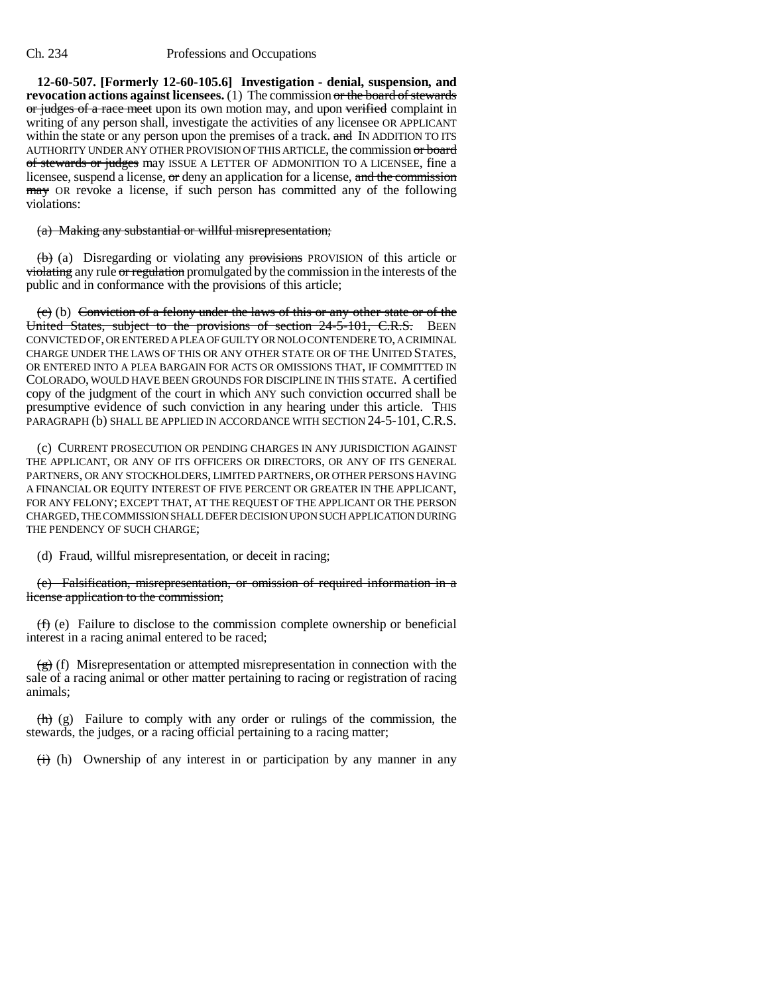**12-60-507. [Formerly 12-60-105.6] Investigation - denial, suspension, and revocation actions against licensees.** (1) The commission or the board of stewards or judges of a race meet upon its own motion may, and upon verified complaint in writing of any person shall, investigate the activities of any licensee OR APPLICANT within the state or any person upon the premises of a track. and IN ADDITION TO ITS AUTHORITY UNDER ANY OTHER PROVISION OF THIS ARTICLE, the commission or board of stewards or judges may ISSUE A LETTER OF ADMONITION TO A LICENSEE, fine a licensee, suspend a license, or deny an application for a license, and the commission may OR revoke a license, if such person has committed any of the following violations:

## (a) Making any substantial or willful misrepresentation;

(b) (a) Disregarding or violating any provisions PROVISION of this article or violating any rule or regulation promulgated by the commission in the interests of the public and in conformance with the provisions of this article;

(c) (b) Conviction of a felony under the laws of this or any other state or of the United States, subject to the provisions of section 24-5-101, C.R.S. BEEN CONVICTED OF, OR ENTERED A PLEA OF GUILTY OR NOLO CONTENDERE TO, A CRIMINAL CHARGE UNDER THE LAWS OF THIS OR ANY OTHER STATE OR OF THE UNITED STATES, OR ENTERED INTO A PLEA BARGAIN FOR ACTS OR OMISSIONS THAT, IF COMMITTED IN COLORADO, WOULD HAVE BEEN GROUNDS FOR DISCIPLINE IN THIS STATE. A certified copy of the judgment of the court in which ANY such conviction occurred shall be presumptive evidence of such conviction in any hearing under this article. THIS PARAGRAPH (b) SHALL BE APPLIED IN ACCORDANCE WITH SECTION 24-5-101, C.R.S.

(c) CURRENT PROSECUTION OR PENDING CHARGES IN ANY JURISDICTION AGAINST THE APPLICANT, OR ANY OF ITS OFFICERS OR DIRECTORS, OR ANY OF ITS GENERAL PARTNERS, OR ANY STOCKHOLDERS, LIMITED PARTNERS, OR OTHER PERSONS HAVING A FINANCIAL OR EQUITY INTEREST OF FIVE PERCENT OR GREATER IN THE APPLICANT, FOR ANY FELONY; EXCEPT THAT, AT THE REQUEST OF THE APPLICANT OR THE PERSON CHARGED, THE COMMISSION SHALL DEFER DECISION UPON SUCH APPLICATION DURING THE PENDENCY OF SUCH CHARGE;

(d) Fraud, willful misrepresentation, or deceit in racing;

## (e) Falsification, misrepresentation, or omission of required information in a license application to the commission;

 $(f)$  (e) Failure to disclose to the commission complete ownership or beneficial interest in a racing animal entered to be raced;

 $\left(\frac{\mathbf{e}}{\mathbf{e}}\right)$  (f) Misrepresentation or attempted misrepresentation in connection with the sale of a racing animal or other matter pertaining to racing or registration of racing animals;

 $\left(\frac{h}{h}\right)$  (g) Failure to comply with any order or rulings of the commission, the stewards, the judges, or a racing official pertaining to a racing matter;

 $(i)$  (h) Ownership of any interest in or participation by any manner in any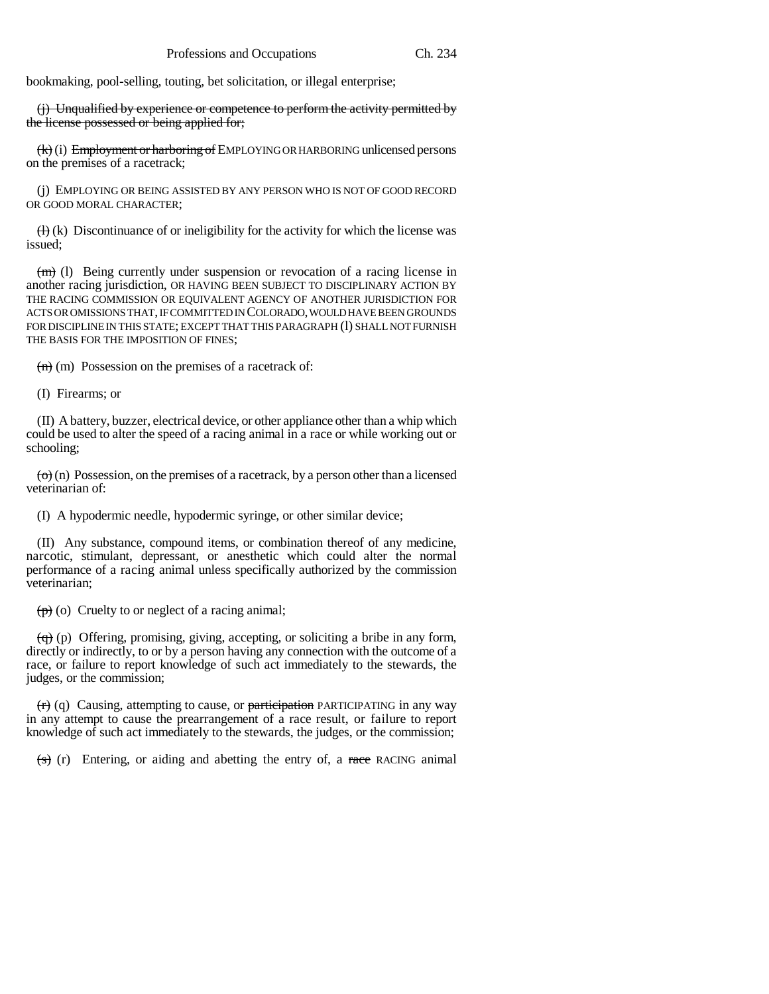bookmaking, pool-selling, touting, bet solicitation, or illegal enterprise;

(j) Unqualified by experience or competence to perform the activity permitted by the license possessed or being applied for;

(k) (i) Employment or harboring of EMPLOYING OR HARBORING unlicensed persons on the premises of a racetrack;

(j) EMPLOYING OR BEING ASSISTED BY ANY PERSON WHO IS NOT OF GOOD RECORD OR GOOD MORAL CHARACTER;

 $(H)$  (k) Discontinuance of or ineligibility for the activity for which the license was issued;

 $(m)$  (l) Being currently under suspension or revocation of a racing license in another racing jurisdiction, OR HAVING BEEN SUBJECT TO DISCIPLINARY ACTION BY THE RACING COMMISSION OR EQUIVALENT AGENCY OF ANOTHER JURISDICTION FOR ACTS OR OMISSIONS THAT, IF COMMITTED IN COLORADO, WOULD HAVE BEEN GROUNDS FOR DISCIPLINE IN THIS STATE; EXCEPT THAT THIS PARAGRAPH (l) SHALL NOT FURNISH THE BASIS FOR THE IMPOSITION OF FINES;

 $(n)$  (m) Possession on the premises of a racetrack of:

(I) Firearms; or

(II) A battery, buzzer, electrical device, or other appliance other than a whip which could be used to alter the speed of a racing animal in a race or while working out or schooling;

 $\left(\varphi\right)$  (n) Possession, on the premises of a racetrack, by a person other than a licensed veterinarian of:

(I) A hypodermic needle, hypodermic syringe, or other similar device;

(II) Any substance, compound items, or combination thereof of any medicine, narcotic, stimulant, depressant, or anesthetic which could alter the normal performance of a racing animal unless specifically authorized by the commission veterinarian;

 $(p)$  (o) Cruelty to or neglect of a racing animal;

 $\left(\frac{q}{q}\right)$  (p) Offering, promising, giving, accepting, or soliciting a bribe in any form, directly or indirectly, to or by a person having any connection with the outcome of a race, or failure to report knowledge of such act immediately to the stewards, the judges, or the commission;

 $(r)$  (q) Causing, attempting to cause, or participation PARTICIPATING in any way in any attempt to cause the prearrangement of a race result, or failure to report knowledge of such act immediately to the stewards, the judges, or the commission;

 $(s)$  (r) Entering, or aiding and abetting the entry of, a race RACING animal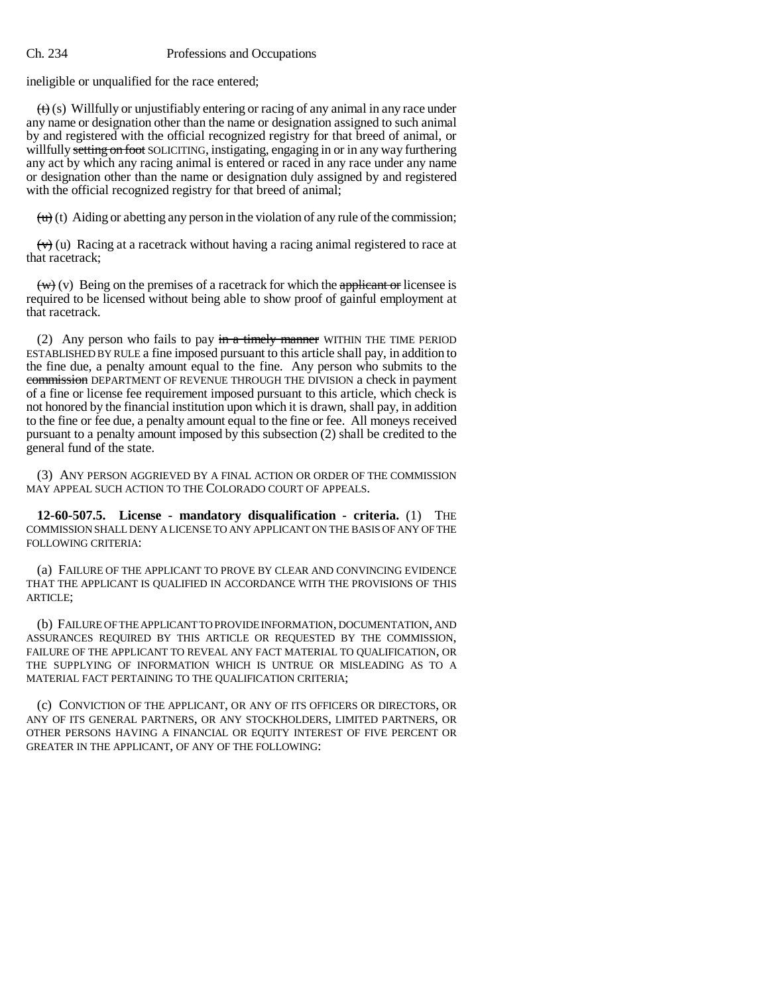ineligible or unqualified for the race entered;

 $(t)$  (s) Willfully or unjustifiably entering or racing of any animal in any race under any name or designation other than the name or designation assigned to such animal by and registered with the official recognized registry for that breed of animal, or willfully setting on foot SOLICITING, instigating, engaging in or in any way furthering any act by which any racing animal is entered or raced in any race under any name or designation other than the name or designation duly assigned by and registered with the official recognized registry for that breed of animal;

 $\overleftrightarrow{(u)}(t)$  Aiding or abetting any person in the violation of any rule of the commission;

 $(\forall)$  (u) Racing at a racetrack without having a racing animal registered to race at that racetrack;

 $\overline{(w)}$  (v) Being on the premises of a racetrack for which the applicant or licensee is required to be licensed without being able to show proof of gainful employment at that racetrack.

(2) Any person who fails to pay  $\frac{1}{2}$  in a timely manner WITHIN THE TIME PERIOD ESTABLISHED BY RULE a fine imposed pursuant to this article shall pay, in addition to the fine due, a penalty amount equal to the fine. Any person who submits to the commission DEPARTMENT OF REVENUE THROUGH THE DIVISION a check in payment of a fine or license fee requirement imposed pursuant to this article, which check is not honored by the financial institution upon which it is drawn, shall pay, in addition to the fine or fee due, a penalty amount equal to the fine or fee. All moneys received pursuant to a penalty amount imposed by this subsection (2) shall be credited to the general fund of the state.

(3) ANY PERSON AGGRIEVED BY A FINAL ACTION OR ORDER OF THE COMMISSION MAY APPEAL SUCH ACTION TO THE COLORADO COURT OF APPEALS.

**12-60-507.5. License - mandatory disqualification - criteria.** (1) THE COMMISSION SHALL DENY A LICENSE TO ANY APPLICANT ON THE BASIS OF ANY OF THE FOLLOWING CRITERIA:

(a) FAILURE OF THE APPLICANT TO PROVE BY CLEAR AND CONVINCING EVIDENCE THAT THE APPLICANT IS QUALIFIED IN ACCORDANCE WITH THE PROVISIONS OF THIS ARTICLE;

(b) FAILURE OF THE APPLICANT TO PROVIDE INFORMATION, DOCUMENTATION, AND ASSURANCES REQUIRED BY THIS ARTICLE OR REQUESTED BY THE COMMISSION, FAILURE OF THE APPLICANT TO REVEAL ANY FACT MATERIAL TO QUALIFICATION, OR THE SUPPLYING OF INFORMATION WHICH IS UNTRUE OR MISLEADING AS TO A MATERIAL FACT PERTAINING TO THE QUALIFICATION CRITERIA;

(c) CONVICTION OF THE APPLICANT, OR ANY OF ITS OFFICERS OR DIRECTORS, OR ANY OF ITS GENERAL PARTNERS, OR ANY STOCKHOLDERS, LIMITED PARTNERS, OR OTHER PERSONS HAVING A FINANCIAL OR EQUITY INTEREST OF FIVE PERCENT OR GREATER IN THE APPLICANT, OF ANY OF THE FOLLOWING: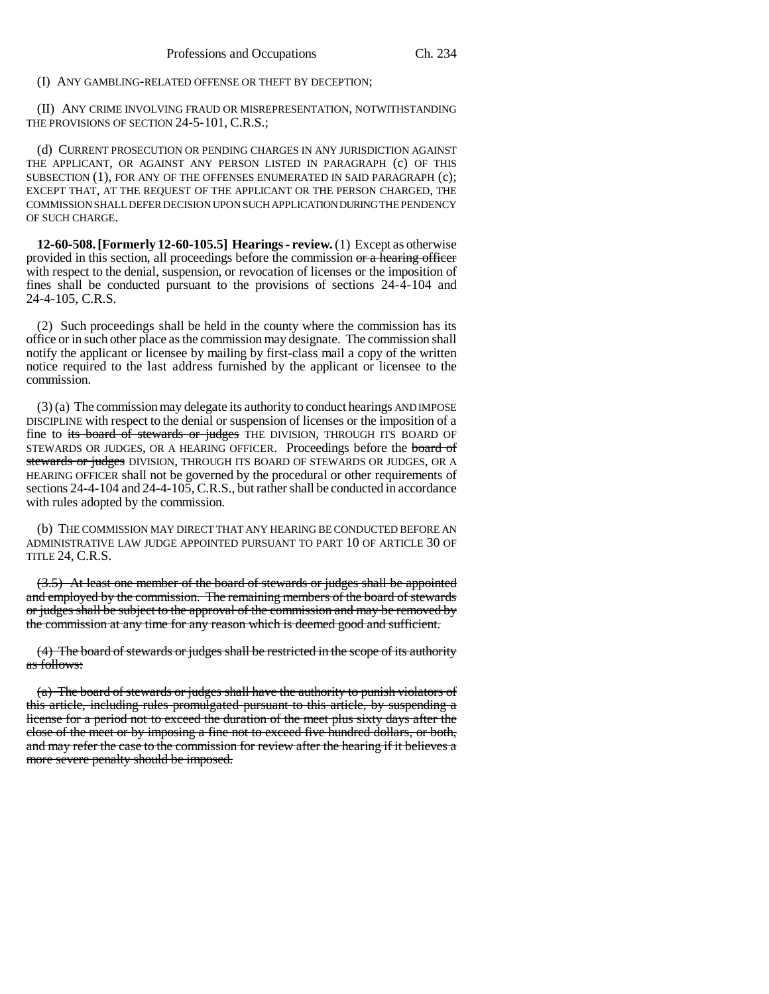(I) ANY GAMBLING-RELATED OFFENSE OR THEFT BY DECEPTION;

(II) ANY CRIME INVOLVING FRAUD OR MISREPRESENTATION, NOTWITHSTANDING THE PROVISIONS OF SECTION 24-5-101, C.R.S.;

(d) CURRENT PROSECUTION OR PENDING CHARGES IN ANY JURISDICTION AGAINST THE APPLICANT, OR AGAINST ANY PERSON LISTED IN PARAGRAPH (c) OF THIS SUBSECTION (1), FOR ANY OF THE OFFENSES ENUMERATED IN SAID PARAGRAPH (c); EXCEPT THAT, AT THE REQUEST OF THE APPLICANT OR THE PERSON CHARGED, THE COMMISSION SHALL DEFER DECISION UPON SUCH APPLICATION DURING THE PENDENCY OF SUCH CHARGE.

**12-60-508. [Formerly 12-60-105.5] Hearings - review.** (1) Except as otherwise provided in this section, all proceedings before the commission or a hearing officer with respect to the denial, suspension, or revocation of licenses or the imposition of fines shall be conducted pursuant to the provisions of sections 24-4-104 and 24-4-105, C.R.S.

(2) Such proceedings shall be held in the county where the commission has its office or in such other place as the commission may designate. The commission shall notify the applicant or licensee by mailing by first-class mail a copy of the written notice required to the last address furnished by the applicant or licensee to the commission.

(3) (a) The commission may delegate its authority to conduct hearings AND IMPOSE DISCIPLINE with respect to the denial or suspension of licenses or the imposition of a fine to its board of stewards or judges THE DIVISION, THROUGH ITS BOARD OF STEWARDS OR JUDGES, OR A HEARING OFFICER. Proceedings before the board of stewards or judges DIVISION, THROUGH ITS BOARD OF STEWARDS OR JUDGES, OR A HEARING OFFICER shall not be governed by the procedural or other requirements of sections 24-4-104 and 24-4-105, C.R.S., but rather shall be conducted in accordance with rules adopted by the commission.

(b) THE COMMISSION MAY DIRECT THAT ANY HEARING BE CONDUCTED BEFORE AN ADMINISTRATIVE LAW JUDGE APPOINTED PURSUANT TO PART 10 OF ARTICLE 30 OF TITLE 24, C.R.S.

(3.5) At least one member of the board of stewards or judges shall be appointed and employed by the commission. The remaining members of the board of stewards or judges shall be subject to the approval of the commission and may be removed by the commission at any time for any reason which is deemed good and sufficient.

(4) The board of stewards or judges shall be restricted in the scope of its authority as follows:

(a) The board of stewards or judges shall have the authority to punish violators of this article, including rules promulgated pursuant to this article, by suspending a license for a period not to exceed the duration of the meet plus sixty days after the close of the meet or by imposing a fine not to exceed five hundred dollars, or both, and may refer the case to the commission for review after the hearing if it believes a more severe penalty should be imposed.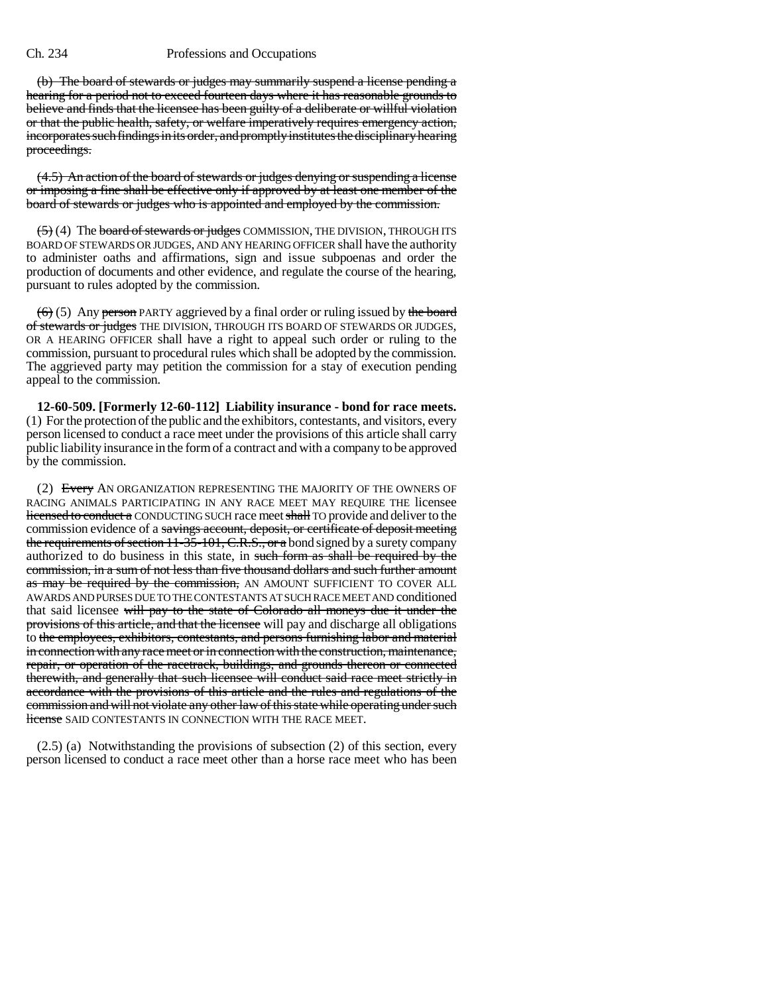(b) The board of stewards or judges may summarily suspend a license pending a hearing for a period not to exceed fourteen days where it has reasonable grounds to believe and finds that the licensee has been guilty of a deliberate or willful violation or that the public health, safety, or welfare imperatively requires emergency action, incorporates such findings in its order, and promptly institutes the disciplinary hearing proceedings.

(4.5) An action of the board of stewards or judges denying or suspending a license or imposing a fine shall be effective only if approved by at least one member of the board of stewards or judges who is appointed and employed by the commission.

(5) (4) The board of stewards or judges COMMISSION, THE DIVISION, THROUGH ITS BOARD OF STEWARDS OR JUDGES, AND ANY HEARING OFFICER shall have the authority to administer oaths and affirmations, sign and issue subpoenas and order the production of documents and other evidence, and regulate the course of the hearing, pursuant to rules adopted by the commission.

 $(6)$  (5) Any person PARTY aggrieved by a final order or ruling issued by the board of stewards or judges THE DIVISION, THROUGH ITS BOARD OF STEWARDS OR JUDGES, OR A HEARING OFFICER shall have a right to appeal such order or ruling to the commission, pursuant to procedural rules which shall be adopted by the commission. The aggrieved party may petition the commission for a stay of execution pending appeal to the commission.

**12-60-509. [Formerly 12-60-112] Liability insurance - bond for race meets.** (1) For the protection of the public and the exhibitors, contestants, and visitors, every person licensed to conduct a race meet under the provisions of this article shall carry public liability insurance in the form of a contract and with a company to be approved by the commission.

(2) Every AN ORGANIZATION REPRESENTING THE MAJORITY OF THE OWNERS OF RACING ANIMALS PARTICIPATING IN ANY RACE MEET MAY REQUIRE THE licensee licensed to conduct a CONDUCTING SUCH race meet shall TO provide and deliver to the commission evidence of a savings account, deposit, or certificate of deposit meeting the requirements of section 11-35-101, C.R.S., or a bond signed by a surety company authorized to do business in this state, in such form as shall be required by the commission, in a sum of not less than five thousand dollars and such further amount as may be required by the commission, AN AMOUNT SUFFICIENT TO COVER ALL AWARDS AND PURSES DUE TO THE CONTESTANTS AT SUCH RACE MEET AND conditioned that said licensee will pay to the state of Colorado all moneys due it under the provisions of this article, and that the licensee will pay and discharge all obligations to the employees, exhibitors, contestants, and persons furnishing labor and material in connection with any race meet or in connection with the construction, maintenance, repair, or operation of the racetrack, buildings, and grounds thereon or connected therewith, and generally that such licensee will conduct said race meet strictly in accordance with the provisions of this article and the rules and regulations of the commission and will not violate any other law of this state while operating under such license SAID CONTESTANTS IN CONNECTION WITH THE RACE MEET.

(2.5) (a) Notwithstanding the provisions of subsection (2) of this section, every person licensed to conduct a race meet other than a horse race meet who has been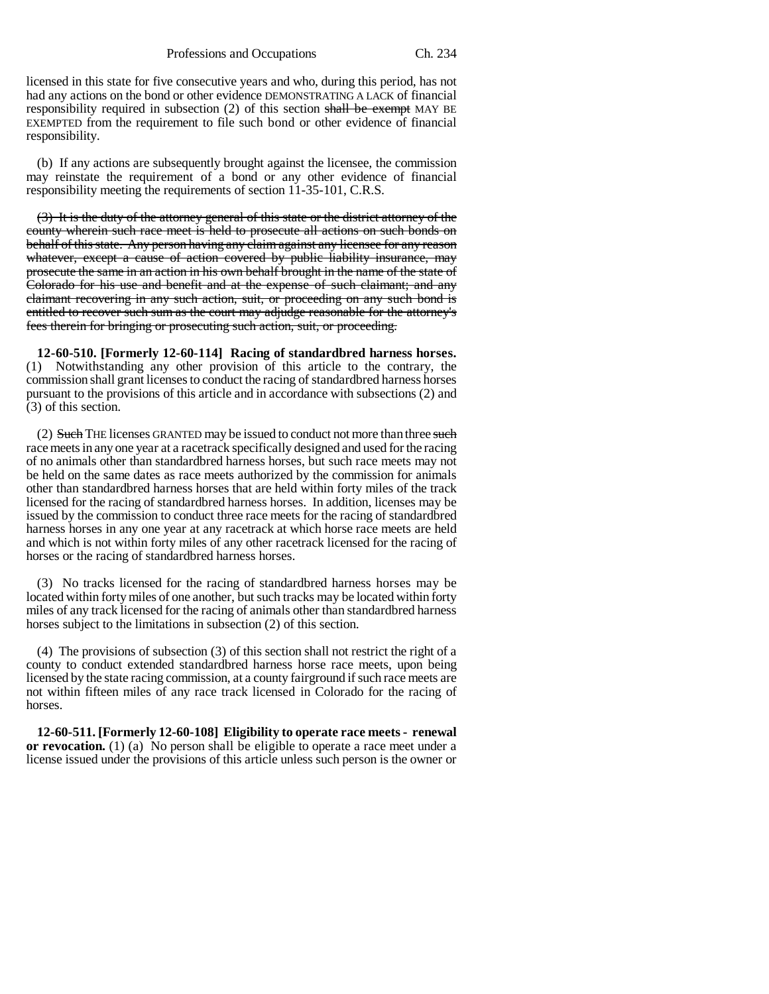licensed in this state for five consecutive years and who, during this period, has not had any actions on the bond or other evidence DEMONSTRATING A LACK of financial responsibility required in subsection  $(2)$  of this section shall be exempt MAY BE EXEMPTED from the requirement to file such bond or other evidence of financial responsibility.

(b) If any actions are subsequently brought against the licensee, the commission may reinstate the requirement of a bond or any other evidence of financial responsibility meeting the requirements of section 11-35-101, C.R.S.

(3) It is the duty of the attorney general of this state or the district attorney of the county wherein such race meet is held to prosecute all actions on such bonds on behalf of this state. Any person having any claim against any licensee for any reason whatever, except a cause of action covered by public liability insurance, may prosecute the same in an action in his own behalf brought in the name of the state of Colorado for his use and benefit and at the expense of such claimant; and any claimant recovering in any such action, suit, or proceeding on any such bond is entitled to recover such sum as the court may adjudge reasonable for the attorney's fees therein for bringing or prosecuting such action, suit, or proceeding.

**12-60-510. [Formerly 12-60-114] Racing of standardbred harness horses.** (1) Notwithstanding any other provision of this article to the contrary, the commission shall grant licenses to conduct the racing of standardbred harness horses pursuant to the provisions of this article and in accordance with subsections (2) and (3) of this section.

(2) Such THE licenses GRANTED may be issued to conduct not more than three such race meets in any one year at a racetrack specifically designed and used for the racing of no animals other than standardbred harness horses, but such race meets may not be held on the same dates as race meets authorized by the commission for animals other than standardbred harness horses that are held within forty miles of the track licensed for the racing of standardbred harness horses. In addition, licenses may be issued by the commission to conduct three race meets for the racing of standardbred harness horses in any one year at any racetrack at which horse race meets are held and which is not within forty miles of any other racetrack licensed for the racing of horses or the racing of standardbred harness horses.

(3) No tracks licensed for the racing of standardbred harness horses may be located within forty miles of one another, but such tracks may be located within forty miles of any track licensed for the racing of animals other than standardbred harness horses subject to the limitations in subsection (2) of this section.

(4) The provisions of subsection (3) of this section shall not restrict the right of a county to conduct extended standardbred harness horse race meets, upon being licensed by the state racing commission, at a county fairground if such race meets are not within fifteen miles of any race track licensed in Colorado for the racing of horses.

**12-60-511. [Formerly 12-60-108] Eligibility to operate race meets - renewal or revocation.** (1) (a) No person shall be eligible to operate a race meet under a license issued under the provisions of this article unless such person is the owner or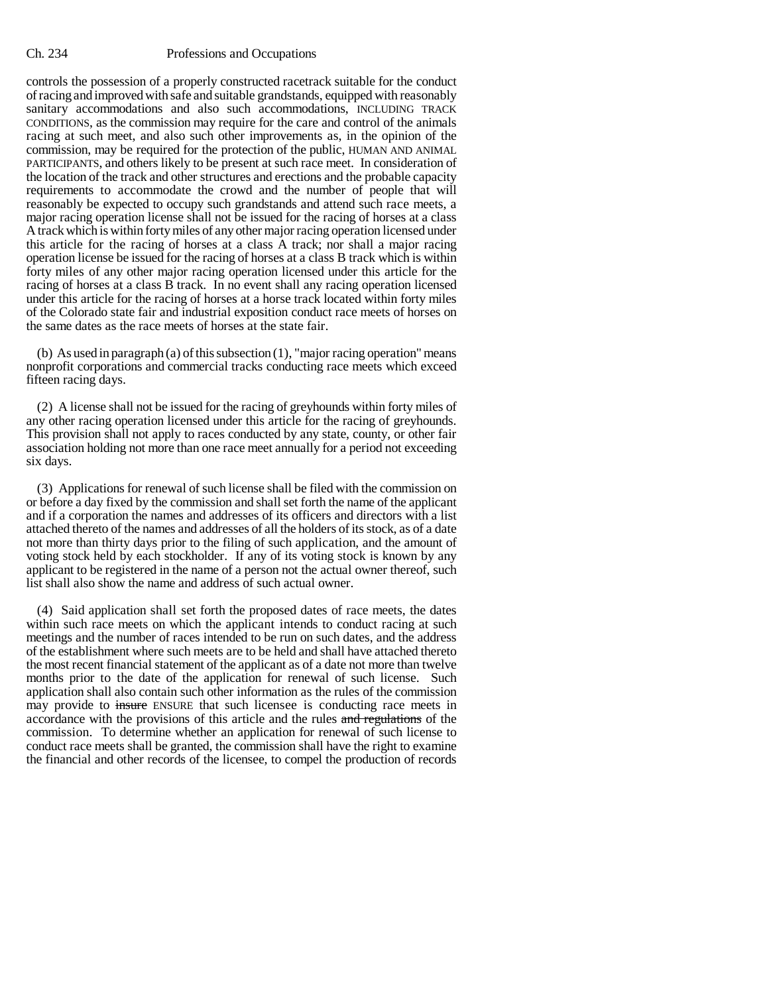controls the possession of a properly constructed racetrack suitable for the conduct of racing and improved with safe and suitable grandstands, equipped with reasonably sanitary accommodations and also such accommodations, INCLUDING TRACK CONDITIONS, as the commission may require for the care and control of the animals racing at such meet, and also such other improvements as, in the opinion of the commission, may be required for the protection of the public, HUMAN AND ANIMAL PARTICIPANTS, and others likely to be present at such race meet. In consideration of the location of the track and other structures and erections and the probable capacity requirements to accommodate the crowd and the number of people that will reasonably be expected to occupy such grandstands and attend such race meets, a major racing operation license shall not be issued for the racing of horses at a class A track which is within forty miles of any other major racing operation licensed under this article for the racing of horses at a class A track; nor shall a major racing operation license be issued for the racing of horses at a class B track which is within forty miles of any other major racing operation licensed under this article for the racing of horses at a class B track. In no event shall any racing operation licensed under this article for the racing of horses at a horse track located within forty miles of the Colorado state fair and industrial exposition conduct race meets of horses on the same dates as the race meets of horses at the state fair.

(b) As used in paragraph (a) of this subsection (1), "major racing operation" means nonprofit corporations and commercial tracks conducting race meets which exceed fifteen racing days.

(2) A license shall not be issued for the racing of greyhounds within forty miles of any other racing operation licensed under this article for the racing of greyhounds. This provision shall not apply to races conducted by any state, county, or other fair association holding not more than one race meet annually for a period not exceeding six days.

(3) Applications for renewal of such license shall be filed with the commission on or before a day fixed by the commission and shall set forth the name of the applicant and if a corporation the names and addresses of its officers and directors with a list attached thereto of the names and addresses of all the holders of its stock, as of a date not more than thirty days prior to the filing of such application, and the amount of voting stock held by each stockholder. If any of its voting stock is known by any applicant to be registered in the name of a person not the actual owner thereof, such list shall also show the name and address of such actual owner.

(4) Said application shall set forth the proposed dates of race meets, the dates within such race meets on which the applicant intends to conduct racing at such meetings and the number of races intended to be run on such dates, and the address of the establishment where such meets are to be held and shall have attached thereto the most recent financial statement of the applicant as of a date not more than twelve months prior to the date of the application for renewal of such license. Such application shall also contain such other information as the rules of the commission may provide to insure ENSURE that such licensee is conducting race meets in accordance with the provisions of this article and the rules and regulations of the commission. To determine whether an application for renewal of such license to conduct race meets shall be granted, the commission shall have the right to examine the financial and other records of the licensee, to compel the production of records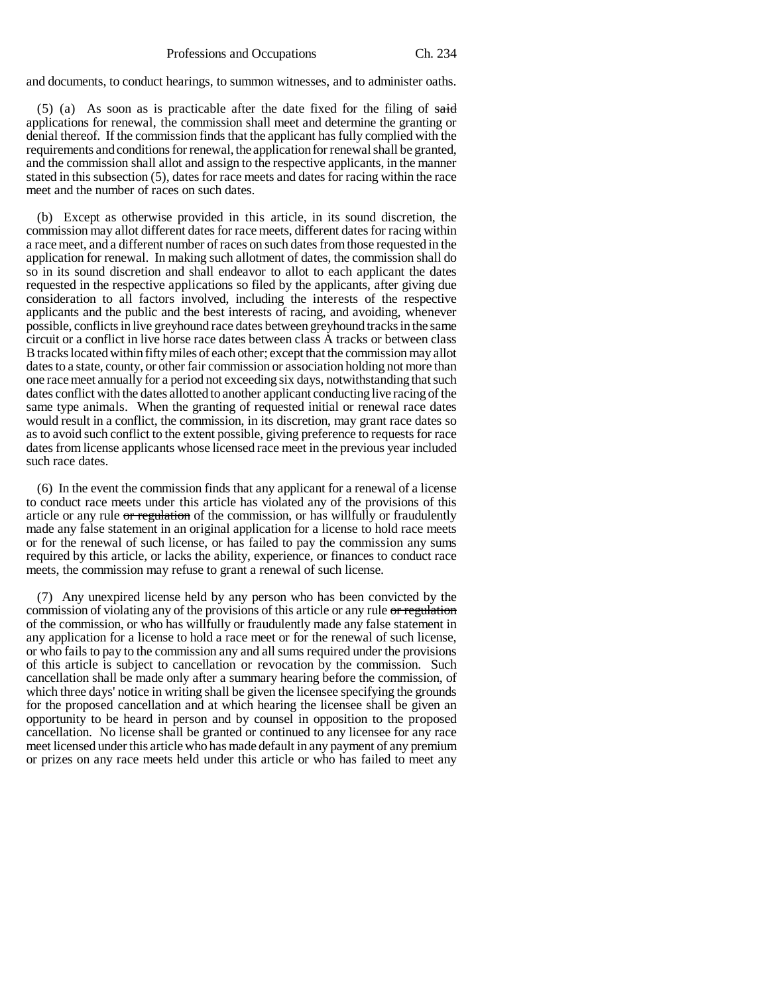and documents, to conduct hearings, to summon witnesses, and to administer oaths.

 $(5)$  (a) As soon as is practicable after the date fixed for the filing of said applications for renewal, the commission shall meet and determine the granting or denial thereof. If the commission finds that the applicant has fully complied with the requirements and conditions for renewal, the application for renewal shall be granted, and the commission shall allot and assign to the respective applicants, in the manner stated in this subsection (5), dates for race meets and dates for racing within the race meet and the number of races on such dates.

(b) Except as otherwise provided in this article, in its sound discretion, the commission may allot different dates for race meets, different dates for racing within a race meet, and a different number of races on such dates from those requested in the application for renewal. In making such allotment of dates, the commission shall do so in its sound discretion and shall endeavor to allot to each applicant the dates requested in the respective applications so filed by the applicants, after giving due consideration to all factors involved, including the interests of the respective applicants and the public and the best interests of racing, and avoiding, whenever possible, conflicts in live greyhound race dates between greyhound tracks in the same circuit or a conflict in live horse race dates between class A tracks or between class B tracks located within fifty miles of each other; except that the commission may allot dates to a state, county, or other fair commission or association holding not more than one race meet annually for a period not exceeding six days, notwithstanding that such dates conflict with the dates allotted to another applicant conducting live racing of the same type animals. When the granting of requested initial or renewal race dates would result in a conflict, the commission, in its discretion, may grant race dates so as to avoid such conflict to the extent possible, giving preference to requests for race dates from license applicants whose licensed race meet in the previous year included such race dates.

(6) In the event the commission finds that any applicant for a renewal of a license to conduct race meets under this article has violated any of the provisions of this article or any rule or regulation of the commission, or has willfully or fraudulently made any false statement in an original application for a license to hold race meets or for the renewal of such license, or has failed to pay the commission any sums required by this article, or lacks the ability, experience, or finances to conduct race meets, the commission may refuse to grant a renewal of such license.

(7) Any unexpired license held by any person who has been convicted by the commission of violating any of the provisions of this article or any rule or regulation of the commission, or who has willfully or fraudulently made any false statement in any application for a license to hold a race meet or for the renewal of such license, or who fails to pay to the commission any and all sums required under the provisions of this article is subject to cancellation or revocation by the commission. Such cancellation shall be made only after a summary hearing before the commission, of which three days' notice in writing shall be given the licensee specifying the grounds for the proposed cancellation and at which hearing the licensee shall be given an opportunity to be heard in person and by counsel in opposition to the proposed cancellation. No license shall be granted or continued to any licensee for any race meet licensed under this article who has made default in any payment of any premium or prizes on any race meets held under this article or who has failed to meet any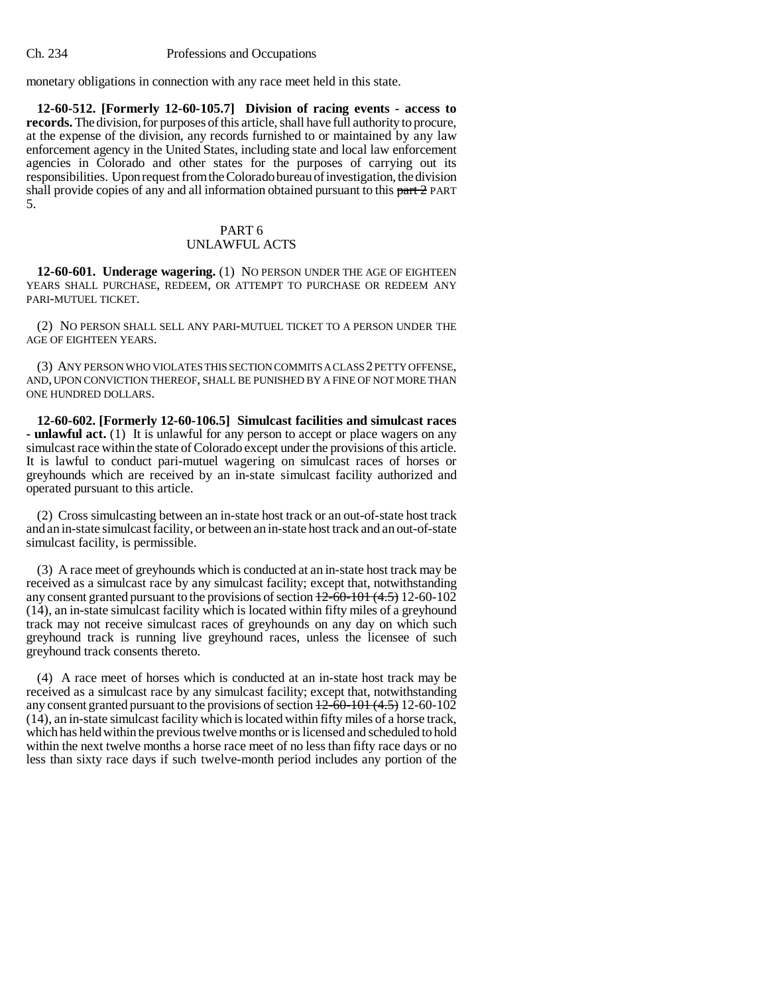monetary obligations in connection with any race meet held in this state.

**12-60-512. [Formerly 12-60-105.7] Division of racing events - access to records.** The division, for purposes of this article, shall have full authority to procure, at the expense of the division, any records furnished to or maintained by any law enforcement agency in the United States, including state and local law enforcement agencies in Colorado and other states for the purposes of carrying out its responsibilities. Upon request from the Colorado bureau of investigation, the division shall provide copies of any and all information obtained pursuant to this part 2 PART 5.

## PART 6 UNLAWFUL ACTS

**12-60-601. Underage wagering.** (1) NO PERSON UNDER THE AGE OF EIGHTEEN YEARS SHALL PURCHASE, REDEEM, OR ATTEMPT TO PURCHASE OR REDEEM ANY PARI-MUTUEL TICKET.

(2) NO PERSON SHALL SELL ANY PARI-MUTUEL TICKET TO A PERSON UNDER THE AGE OF EIGHTEEN YEARS.

(3) ANY PERSON WHO VIOLATES THIS SECTION COMMITS A CLASS 2 PETTY OFFENSE, AND, UPON CONVICTION THEREOF, SHALL BE PUNISHED BY A FINE OF NOT MORE THAN ONE HUNDRED DOLLARS.

**12-60-602. [Formerly 12-60-106.5] Simulcast facilities and simulcast races - unlawful act.** (1) It is unlawful for any person to accept or place wagers on any simulcast race within the state of Colorado except under the provisions of this article. It is lawful to conduct pari-mutuel wagering on simulcast races of horses or greyhounds which are received by an in-state simulcast facility authorized and operated pursuant to this article.

(2) Cross simulcasting between an in-state host track or an out-of-state host track and an in-state simulcast facility, or between an in-state host track and an out-of-state simulcast facility, is permissible.

(3) A race meet of greyhounds which is conducted at an in-state host track may be received as a simulcast race by any simulcast facility; except that, notwithstanding any consent granted pursuant to the provisions of section  $+2-60-101$   $(4.5)$  12-60-102 (14), an in-state simulcast facility which is located within fifty miles of a greyhound track may not receive simulcast races of greyhounds on any day on which such greyhound track is running live greyhound races, unless the licensee of such greyhound track consents thereto.

(4) A race meet of horses which is conducted at an in-state host track may be received as a simulcast race by any simulcast facility; except that, notwithstanding any consent granted pursuant to the provisions of section  $12-60-101(4.5)$  12-60-102 (14), an in-state simulcast facility which is located within fifty miles of a horse track, which has held within the previous twelve months or is licensed and scheduled to hold within the next twelve months a horse race meet of no less than fifty race days or no less than sixty race days if such twelve-month period includes any portion of the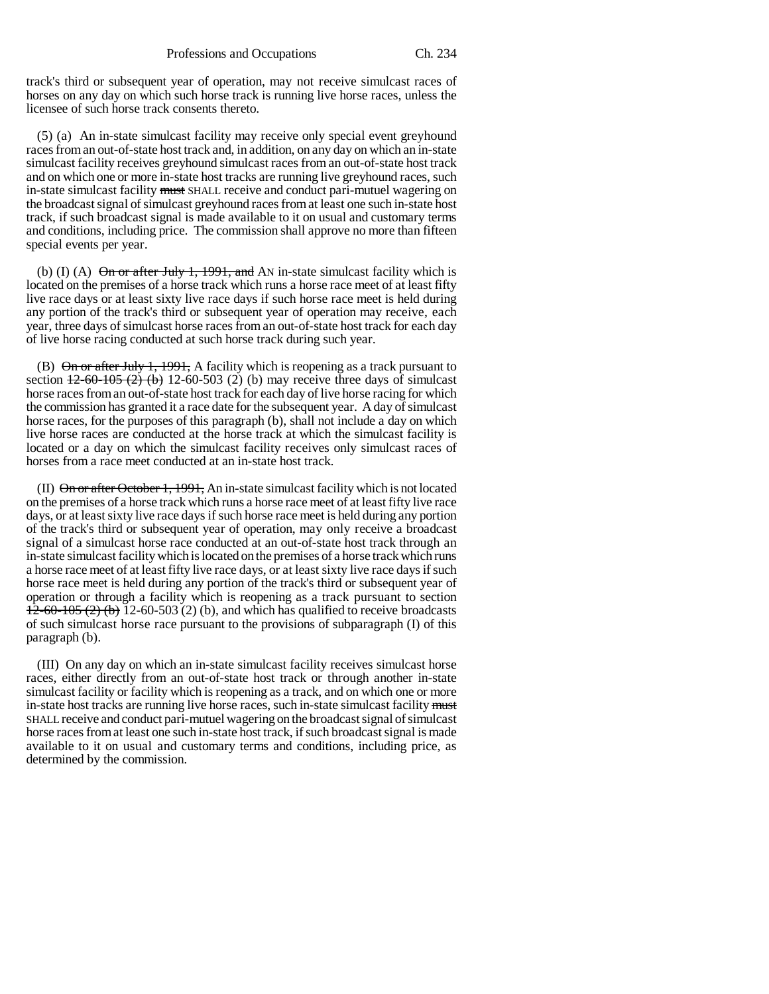track's third or subsequent year of operation, may not receive simulcast races of horses on any day on which such horse track is running live horse races, unless the licensee of such horse track consents thereto.

(5) (a) An in-state simulcast facility may receive only special event greyhound races from an out-of-state host track and, in addition, on any day on which an in-state simulcast facility receives greyhound simulcast races from an out-of-state host track and on which one or more in-state host tracks are running live greyhound races, such in-state simulcast facility must SHALL receive and conduct pari-mutuel wagering on the broadcast signal of simulcast greyhound races from at least one such in-state host track, if such broadcast signal is made available to it on usual and customary terms and conditions, including price. The commission shall approve no more than fifteen special events per year.

(b) (I) (A)  $\Theta$ n or after July 1, 1991, and AN in-state simulcast facility which is located on the premises of a horse track which runs a horse race meet of at least fifty live race days or at least sixty live race days if such horse race meet is held during any portion of the track's third or subsequent year of operation may receive, each year, three days of simulcast horse races from an out-of-state host track for each day of live horse racing conducted at such horse track during such year.

(B)  $\Theta$ n or after July 1, 1991, A facility which is reopening as a track pursuant to section  $\frac{12-60-105(2)}{12-60-503(2)}$  (b) may receive three days of simulcast horse races from an out-of-state host track for each day of live horse racing for which the commission has granted it a race date for the subsequent year. A day of simulcast horse races, for the purposes of this paragraph (b), shall not include a day on which live horse races are conducted at the horse track at which the simulcast facility is located or a day on which the simulcast facility receives only simulcast races of horses from a race meet conducted at an in-state host track.

(II)  $\Theta$ n or after October 1, 1991, An in-state simulcast facility which is not located on the premises of a horse track which runs a horse race meet of at least fifty live race days, or at least sixty live race days if such horse race meet is held during any portion of the track's third or subsequent year of operation, may only receive a broadcast signal of a simulcast horse race conducted at an out-of-state host track through an in-state simulcast facility which is located on the premises of a horse track which runs a horse race meet of at least fifty live race days, or at least sixty live race days if such horse race meet is held during any portion of the track's third or subsequent year of operation or through a facility which is reopening as a track pursuant to section  $12-60-105$  (2) (b) 12-60-503 (2) (b), and which has qualified to receive broadcasts of such simulcast horse race pursuant to the provisions of subparagraph (I) of this paragraph (b).

(III) On any day on which an in-state simulcast facility receives simulcast horse races, either directly from an out-of-state host track or through another in-state simulcast facility or facility which is reopening as a track, and on which one or more in-state host tracks are running live horse races, such in-state simulcast facility must SHALL receive and conduct pari-mutuel wagering on the broadcast signal of simulcast horse races from at least one such in-state host track, if such broadcast signal is made available to it on usual and customary terms and conditions, including price, as determined by the commission.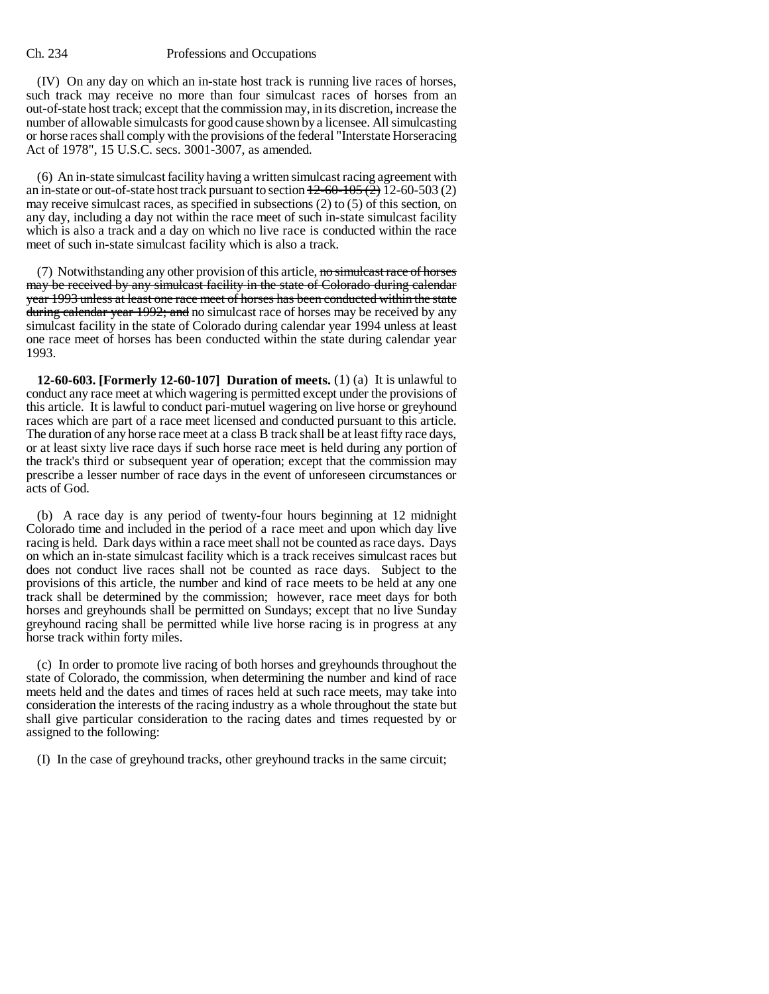(IV) On any day on which an in-state host track is running live races of horses, such track may receive no more than four simulcast races of horses from an out-of-state host track; except that the commission may, in its discretion, increase the number of allowable simulcasts for good cause shown by a licensee. All simulcasting or horse races shall comply with the provisions of the federal "Interstate Horseracing Act of 1978", 15 U.S.C. secs. 3001-3007, as amended.

(6) An in-state simulcast facility having a written simulcast racing agreement with an in-state or out-of-state host track pursuant to section  $\frac{12-60-105(2)}{2}$  12-60-503 (2) may receive simulcast races, as specified in subsections (2) to (5) of this section, on any day, including a day not within the race meet of such in-state simulcast facility which is also a track and a day on which no live race is conducted within the race meet of such in-state simulcast facility which is also a track.

(7) Notwithstanding any other provision of this article, no simulcast race of horses may be received by any simulcast facility in the state of Colorado during calendar year 1993 unless at least one race meet of horses has been conducted within the state during calendar year 1992; and no simulcast race of horses may be received by any simulcast facility in the state of Colorado during calendar year 1994 unless at least one race meet of horses has been conducted within the state during calendar year 1993.

**12-60-603. [Formerly 12-60-107] Duration of meets.** (1) (a) It is unlawful to conduct any race meet at which wagering is permitted except under the provisions of this article. It is lawful to conduct pari-mutuel wagering on live horse or greyhound races which are part of a race meet licensed and conducted pursuant to this article. The duration of any horse race meet at a class B track shall be at least fifty race days, or at least sixty live race days if such horse race meet is held during any portion of the track's third or subsequent year of operation; except that the commission may prescribe a lesser number of race days in the event of unforeseen circumstances or acts of God.

(b) A race day is any period of twenty-four hours beginning at 12 midnight Colorado time and included in the period of a race meet and upon which day live racing is held. Dark days within a race meet shall not be counted as race days. Days on which an in-state simulcast facility which is a track receives simulcast races but does not conduct live races shall not be counted as race days. Subject to the provisions of this article, the number and kind of race meets to be held at any one track shall be determined by the commission; however, race meet days for both horses and greyhounds shall be permitted on Sundays; except that no live Sunday greyhound racing shall be permitted while live horse racing is in progress at any horse track within forty miles.

(c) In order to promote live racing of both horses and greyhounds throughout the state of Colorado, the commission, when determining the number and kind of race meets held and the dates and times of races held at such race meets, may take into consideration the interests of the racing industry as a whole throughout the state but shall give particular consideration to the racing dates and times requested by or assigned to the following:

(I) In the case of greyhound tracks, other greyhound tracks in the same circuit;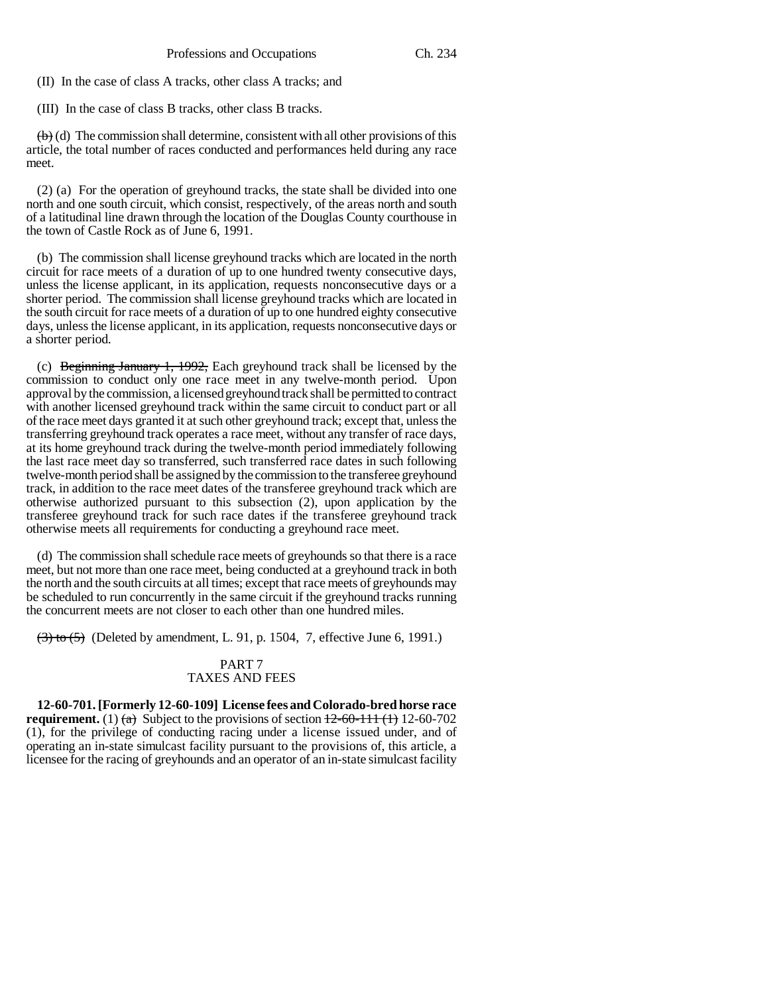(II) In the case of class A tracks, other class A tracks; and

(III) In the case of class B tracks, other class B tracks.

 $\left(\mathbf{b}\right)$  (d) The commission shall determine, consistent with all other provisions of this article, the total number of races conducted and performances held during any race meet.

(2) (a) For the operation of greyhound tracks, the state shall be divided into one north and one south circuit, which consist, respectively, of the areas north and south of a latitudinal line drawn through the location of the Douglas County courthouse in the town of Castle Rock as of June 6, 1991.

(b) The commission shall license greyhound tracks which are located in the north circuit for race meets of a duration of up to one hundred twenty consecutive days, unless the license applicant, in its application, requests nonconsecutive days or a shorter period. The commission shall license greyhound tracks which are located in the south circuit for race meets of a duration of up to one hundred eighty consecutive days, unless the license applicant, in its application, requests nonconsecutive days or a shorter period.

(c) Beginning January 1, 1992, Each greyhound track shall be licensed by the commission to conduct only one race meet in any twelve-month period. Upon approval by the commission, a licensed greyhound track shall be permitted to contract with another licensed greyhound track within the same circuit to conduct part or all of the race meet days granted it at such other greyhound track; except that, unless the transferring greyhound track operates a race meet, without any transfer of race days, at its home greyhound track during the twelve-month period immediately following the last race meet day so transferred, such transferred race dates in such following twelve-month period shall be assigned by the commission to the transferee greyhound track, in addition to the race meet dates of the transferee greyhound track which are otherwise authorized pursuant to this subsection (2), upon application by the transferee greyhound track for such race dates if the transferee greyhound track otherwise meets all requirements for conducting a greyhound race meet.

(d) The commission shall schedule race meets of greyhounds so that there is a race meet, but not more than one race meet, being conducted at a greyhound track in both the north and the south circuits at all times; except that race meets of greyhounds may be scheduled to run concurrently in the same circuit if the greyhound tracks running the concurrent meets are not closer to each other than one hundred miles.

 $(3)$  to  $(5)$  (Deleted by amendment, L. 91, p. 1504, 7, effective June 6, 1991.)

# PART 7 TAXES AND FEES

**12-60-701. [Formerly 12-60-109] License fees and Colorado-bred horse race requirement.** (1)  $\left(\frac{a}{b}\right)$  Subject to the provisions of section  $\frac{12-60-111}{2}$  (1) 12-60-702 (1), for the privilege of conducting racing under a license issued under, and of operating an in-state simulcast facility pursuant to the provisions of, this article, a licensee for the racing of greyhounds and an operator of an in-state simulcast facility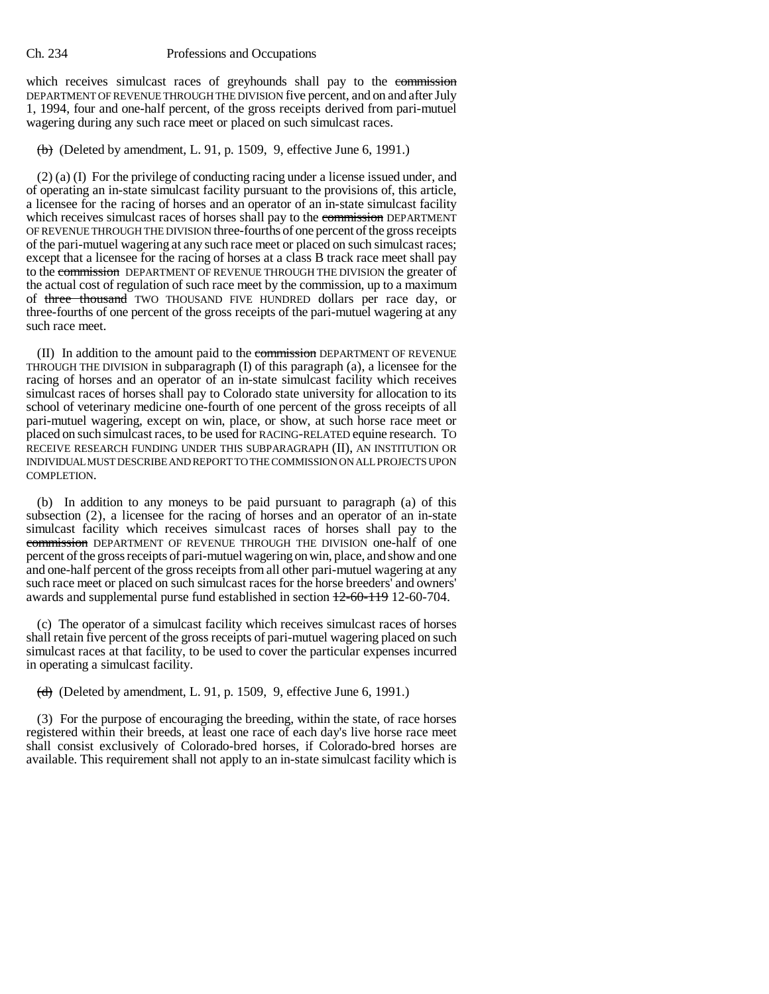which receives simulcast races of greyhounds shall pay to the commission DEPARTMENT OF REVENUE THROUGH THE DIVISION five percent, and on and after July 1, 1994, four and one-half percent, of the gross receipts derived from pari-mutuel wagering during any such race meet or placed on such simulcast races.

 $(b)$  (Deleted by amendment, L. 91, p. 1509, 9, effective June 6, 1991.)

(2) (a) (I) For the privilege of conducting racing under a license issued under, and of operating an in-state simulcast facility pursuant to the provisions of, this article, a licensee for the racing of horses and an operator of an in-state simulcast facility which receives simulcast races of horses shall pay to the commission DEPARTMENT OF REVENUE THROUGH THE DIVISION three-fourths of one percent of the gross receipts of the pari-mutuel wagering at any such race meet or placed on such simulcast races; except that a licensee for the racing of horses at a class B track race meet shall pay to the commission DEPARTMENT OF REVENUE THROUGH THE DIVISION the greater of the actual cost of regulation of such race meet by the commission, up to a maximum of three thousand TWO THOUSAND FIVE HUNDRED dollars per race day, or three-fourths of one percent of the gross receipts of the pari-mutuel wagering at any such race meet.

(II) In addition to the amount paid to the commission DEPARTMENT OF REVENUE THROUGH THE DIVISION in subparagraph (I) of this paragraph (a), a licensee for the racing of horses and an operator of an in-state simulcast facility which receives simulcast races of horses shall pay to Colorado state university for allocation to its school of veterinary medicine one-fourth of one percent of the gross receipts of all pari-mutuel wagering, except on win, place, or show, at such horse race meet or placed on such simulcast races, to be used for RACING-RELATED equine research. TO RECEIVE RESEARCH FUNDING UNDER THIS SUBPARAGRAPH (II), AN INSTITUTION OR INDIVIDUAL MUST DESCRIBE AND REPORT TO THE COMMISSION ON ALL PROJECTS UPON COMPLETION.

(b) In addition to any moneys to be paid pursuant to paragraph (a) of this subsection (2), a licensee for the racing of horses and an operator of an in-state simulcast facility which receives simulcast races of horses shall pay to the commission DEPARTMENT OF REVENUE THROUGH THE DIVISION one-half of one percent of the gross receipts of pari-mutuel wagering on win, place, and show and one and one-half percent of the gross receipts from all other pari-mutuel wagering at any such race meet or placed on such simulcast races for the horse breeders' and owners' awards and supplemental purse fund established in section 12-60-119 12-60-704.

(c) The operator of a simulcast facility which receives simulcast races of horses shall retain five percent of the gross receipts of pari-mutuel wagering placed on such simulcast races at that facility, to be used to cover the particular expenses incurred in operating a simulcast facility.

 $(d)$  (Deleted by amendment, L. 91, p. 1509, 9, effective June 6, 1991.)

(3) For the purpose of encouraging the breeding, within the state, of race horses registered within their breeds, at least one race of each day's live horse race meet shall consist exclusively of Colorado-bred horses, if Colorado-bred horses are available. This requirement shall not apply to an in-state simulcast facility which is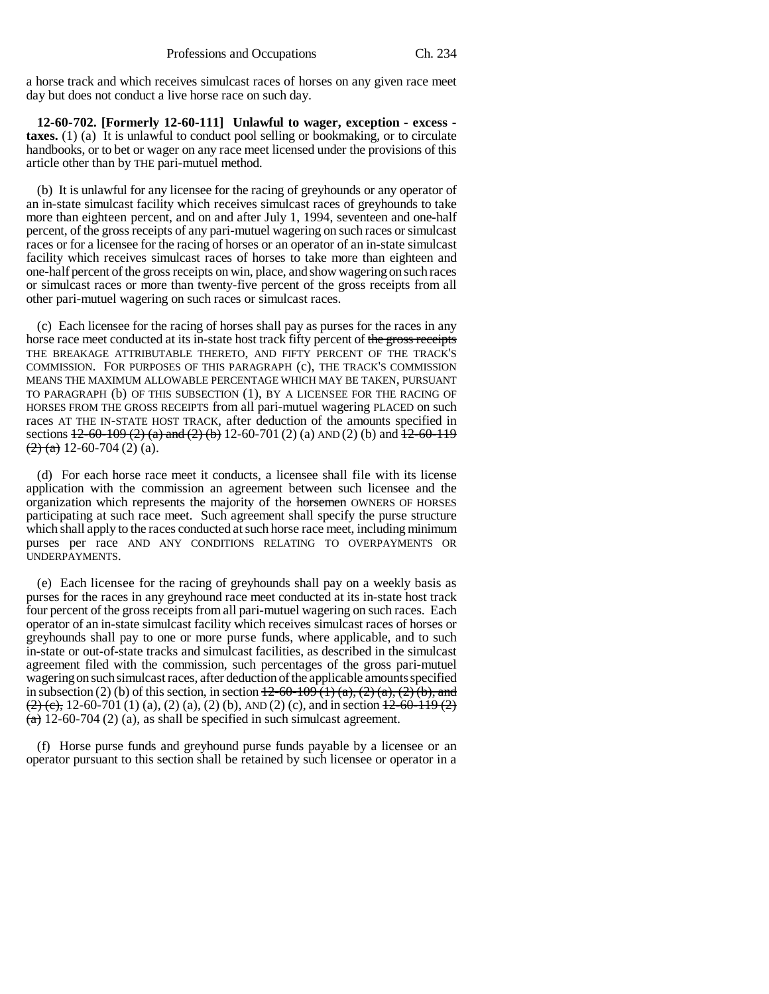a horse track and which receives simulcast races of horses on any given race meet day but does not conduct a live horse race on such day.

**12-60-702. [Formerly 12-60-111] Unlawful to wager, exception - excess taxes.** (1) (a) It is unlawful to conduct pool selling or bookmaking, or to circulate handbooks, or to bet or wager on any race meet licensed under the provisions of this article other than by THE pari-mutuel method.

(b) It is unlawful for any licensee for the racing of greyhounds or any operator of an in-state simulcast facility which receives simulcast races of greyhounds to take more than eighteen percent, and on and after July 1, 1994, seventeen and one-half percent, of the gross receipts of any pari-mutuel wagering on such races or simulcast races or for a licensee for the racing of horses or an operator of an in-state simulcast facility which receives simulcast races of horses to take more than eighteen and one-half percent of the gross receipts on win, place, and show wagering on such races or simulcast races or more than twenty-five percent of the gross receipts from all other pari-mutuel wagering on such races or simulcast races.

(c) Each licensee for the racing of horses shall pay as purses for the races in any horse race meet conducted at its in-state host track fifty percent of the gross receipts THE BREAKAGE ATTRIBUTABLE THERETO, AND FIFTY PERCENT OF THE TRACK'S COMMISSION. FOR PURPOSES OF THIS PARAGRAPH (c), THE TRACK'S COMMISSION MEANS THE MAXIMUM ALLOWABLE PERCENTAGE WHICH MAY BE TAKEN, PURSUANT TO PARAGRAPH (b) OF THIS SUBSECTION (1), BY A LICENSEE FOR THE RACING OF HORSES FROM THE GROSS RECEIPTS from all pari-mutuel wagering PLACED on such races AT THE IN-STATE HOST TRACK, after deduction of the amounts specified in sections  $12-60-109$  (2) (a) and (2) (b) 12-60-701 (2) (a) AND (2) (b) and  $12-60-119$  $(2)$  (a) 12-60-704 (2) (a).

(d) For each horse race meet it conducts, a licensee shall file with its license application with the commission an agreement between such licensee and the organization which represents the majority of the horsemen OWNERS OF HORSES participating at such race meet. Such agreement shall specify the purse structure which shall apply to the races conducted at such horse race meet, including minimum purses per race AND ANY CONDITIONS RELATING TO OVERPAYMENTS OR UNDERPAYMENTS.

(e) Each licensee for the racing of greyhounds shall pay on a weekly basis as purses for the races in any greyhound race meet conducted at its in-state host track four percent of the gross receipts from all pari-mutuel wagering on such races. Each operator of an in-state simulcast facility which receives simulcast races of horses or greyhounds shall pay to one or more purse funds, where applicable, and to such in-state or out-of-state tracks and simulcast facilities, as described in the simulcast agreement filed with the commission, such percentages of the gross pari-mutuel wagering on such simulcast races, after deduction of the applicable amounts specified in subsection (2) (b) of this section, in section  $\frac{12-60-109(1)(a)}{2(a)(2)(b)}$ , and  $\left(\frac{2}{2}\right)$  (c), 12-60-701 (1) (a), (2) (a), (2) (b), AND (2) (c), and in section  $\frac{12-60-119(2)}{2}$  $(a)$  12-60-704 (2) (a), as shall be specified in such simulcast agreement.

(f) Horse purse funds and greyhound purse funds payable by a licensee or an operator pursuant to this section shall be retained by such licensee or operator in a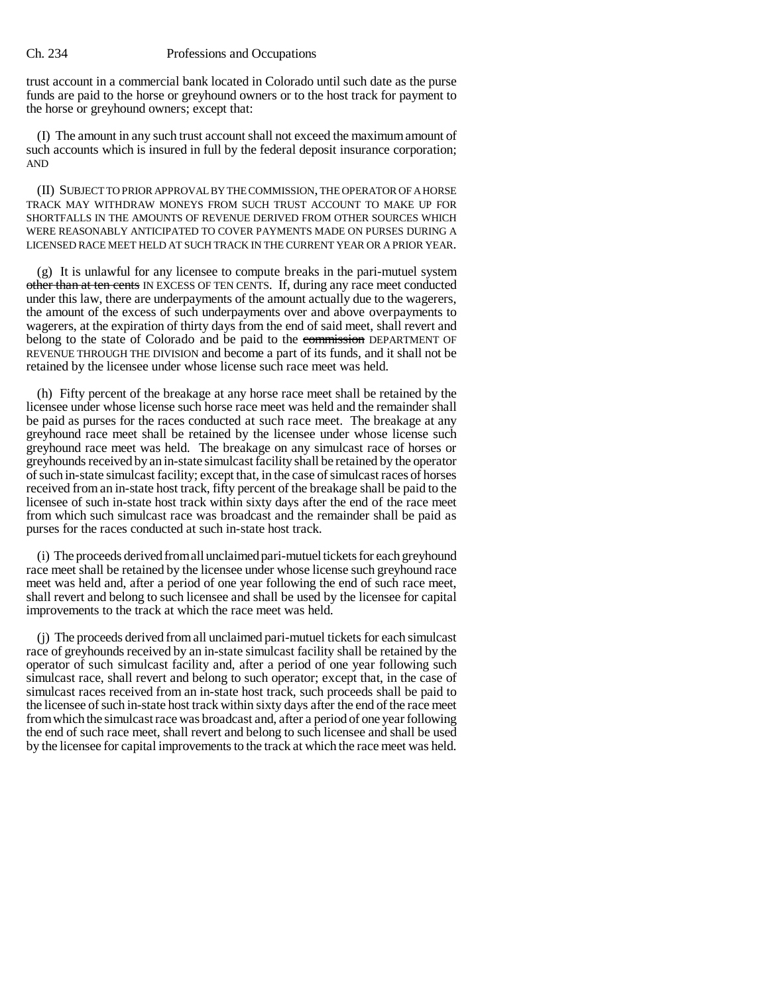trust account in a commercial bank located in Colorado until such date as the purse funds are paid to the horse or greyhound owners or to the host track for payment to the horse or greyhound owners; except that:

(I) The amount in any such trust account shall not exceed the maximum amount of such accounts which is insured in full by the federal deposit insurance corporation; AND

(II) SUBJECT TO PRIOR APPROVAL BY THE COMMISSION, THE OPERATOR OF A HORSE TRACK MAY WITHDRAW MONEYS FROM SUCH TRUST ACCOUNT TO MAKE UP FOR SHORTFALLS IN THE AMOUNTS OF REVENUE DERIVED FROM OTHER SOURCES WHICH WERE REASONABLY ANTICIPATED TO COVER PAYMENTS MADE ON PURSES DURING A LICENSED RACE MEET HELD AT SUCH TRACK IN THE CURRENT YEAR OR A PRIOR YEAR.

(g) It is unlawful for any licensee to compute breaks in the pari-mutuel system other than at ten cents IN EXCESS OF TEN CENTS. If, during any race meet conducted under this law, there are underpayments of the amount actually due to the wagerers, the amount of the excess of such underpayments over and above overpayments to wagerers, at the expiration of thirty days from the end of said meet, shall revert and belong to the state of Colorado and be paid to the commission DEPARTMENT OF REVENUE THROUGH THE DIVISION and become a part of its funds, and it shall not be retained by the licensee under whose license such race meet was held.

(h) Fifty percent of the breakage at any horse race meet shall be retained by the licensee under whose license such horse race meet was held and the remainder shall be paid as purses for the races conducted at such race meet. The breakage at any greyhound race meet shall be retained by the licensee under whose license such greyhound race meet was held. The breakage on any simulcast race of horses or greyhounds received by an in-state simulcast facility shall be retained by the operator of such in-state simulcast facility; except that, in the case of simulcast races of horses received from an in-state host track, fifty percent of the breakage shall be paid to the licensee of such in-state host track within sixty days after the end of the race meet from which such simulcast race was broadcast and the remainder shall be paid as purses for the races conducted at such in-state host track.

(i) The proceeds derived from all unclaimed pari-mutuel tickets for each greyhound race meet shall be retained by the licensee under whose license such greyhound race meet was held and, after a period of one year following the end of such race meet, shall revert and belong to such licensee and shall be used by the licensee for capital improvements to the track at which the race meet was held.

(j) The proceeds derived from all unclaimed pari-mutuel tickets for each simulcast race of greyhounds received by an in-state simulcast facility shall be retained by the operator of such simulcast facility and, after a period of one year following such simulcast race, shall revert and belong to such operator; except that, in the case of simulcast races received from an in-state host track, such proceeds shall be paid to the licensee of such in-state host track within sixty days after the end of the race meet from which the simulcast race was broadcast and, after a period of one year following the end of such race meet, shall revert and belong to such licensee and shall be used by the licensee for capital improvements to the track at which the race meet was held.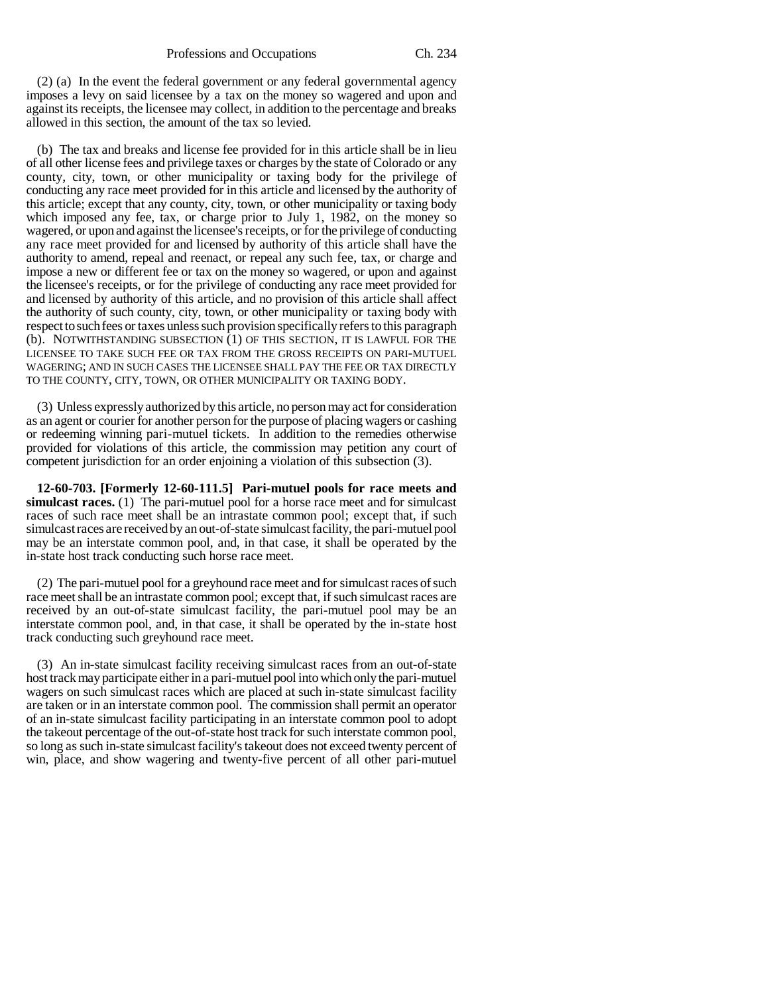(2) (a) In the event the federal government or any federal governmental agency imposes a levy on said licensee by a tax on the money so wagered and upon and against its receipts, the licensee may collect, in addition to the percentage and breaks allowed in this section, the amount of the tax so levied.

(b) The tax and breaks and license fee provided for in this article shall be in lieu of all other license fees and privilege taxes or charges by the state of Colorado or any county, city, town, or other municipality or taxing body for the privilege of conducting any race meet provided for in this article and licensed by the authority of this article; except that any county, city, town, or other municipality or taxing body which imposed any fee, tax, or charge prior to July 1, 1982, on the money so wagered, or upon and against the licensee's receipts, or for the privilege of conducting any race meet provided for and licensed by authority of this article shall have the authority to amend, repeal and reenact, or repeal any such fee, tax, or charge and impose a new or different fee or tax on the money so wagered, or upon and against the licensee's receipts, or for the privilege of conducting any race meet provided for and licensed by authority of this article, and no provision of this article shall affect the authority of such county, city, town, or other municipality or taxing body with respect to such fees or taxes unless such provision specifically refers to this paragraph (b). NOTWITHSTANDING SUBSECTION (1) OF THIS SECTION, IT IS LAWFUL FOR THE LICENSEE TO TAKE SUCH FEE OR TAX FROM THE GROSS RECEIPTS ON PARI-MUTUEL WAGERING; AND IN SUCH CASES THE LICENSEE SHALL PAY THE FEE OR TAX DIRECTLY TO THE COUNTY, CITY, TOWN, OR OTHER MUNICIPALITY OR TAXING BODY.

(3) Unless expressly authorized by this article, no person may act for consideration as an agent or courier for another person for the purpose of placing wagers or cashing or redeeming winning pari-mutuel tickets. In addition to the remedies otherwise provided for violations of this article, the commission may petition any court of competent jurisdiction for an order enjoining a violation of this subsection (3).

**12-60-703. [Formerly 12-60-111.5] Pari-mutuel pools for race meets and simulcast races.** (1) The pari-mutuel pool for a horse race meet and for simulcast races of such race meet shall be an intrastate common pool; except that, if such simulcast races are received by an out-of-state simulcast facility, the pari-mutuel pool may be an interstate common pool, and, in that case, it shall be operated by the in-state host track conducting such horse race meet.

(2) The pari-mutuel pool for a greyhound race meet and for simulcast races of such race meet shall be an intrastate common pool; except that, if such simulcast races are received by an out-of-state simulcast facility, the pari-mutuel pool may be an interstate common pool, and, in that case, it shall be operated by the in-state host track conducting such greyhound race meet.

(3) An in-state simulcast facility receiving simulcast races from an out-of-state host track may participate either in a pari-mutuel pool into which only the pari-mutuel wagers on such simulcast races which are placed at such in-state simulcast facility are taken or in an interstate common pool. The commission shall permit an operator of an in-state simulcast facility participating in an interstate common pool to adopt the takeout percentage of the out-of-state host track for such interstate common pool, so long as such in-state simulcast facility's takeout does not exceed twenty percent of win, place, and show wagering and twenty-five percent of all other pari-mutuel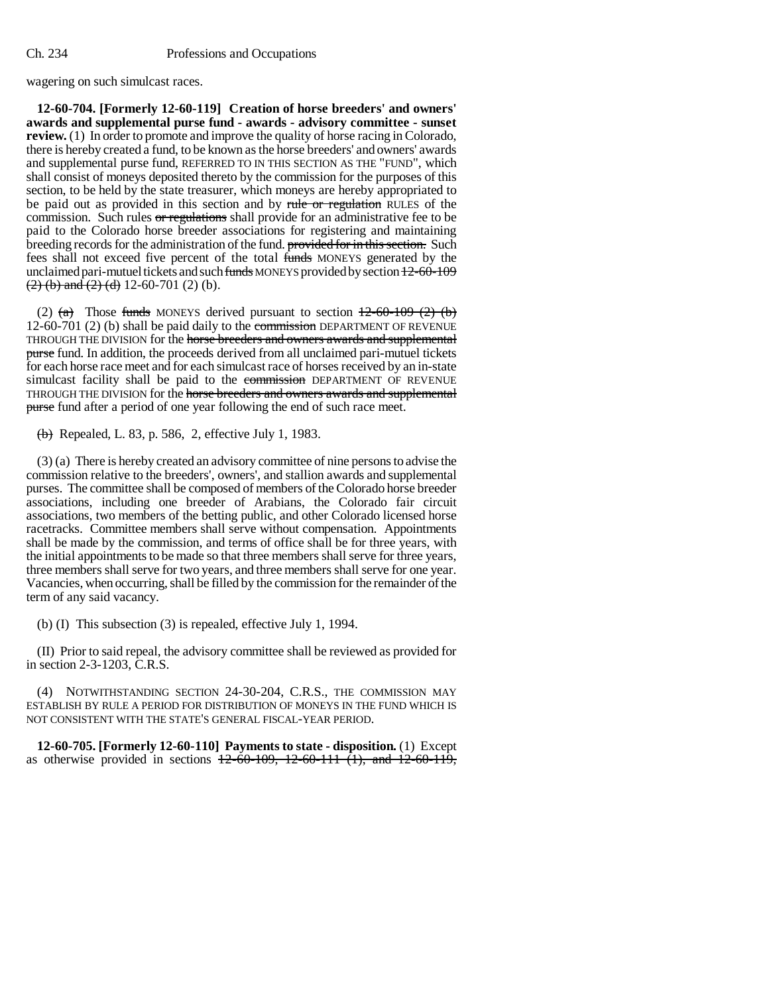wagering on such simulcast races.

**12-60-704. [Formerly 12-60-119] Creation of horse breeders' and owners' awards and supplemental purse fund - awards - advisory committee - sunset review.** (1) In order to promote and improve the quality of horse racing in Colorado, there is hereby created a fund, to be known as the horse breeders' and owners' awards and supplemental purse fund, REFERRED TO IN THIS SECTION AS THE "FUND", which shall consist of moneys deposited thereto by the commission for the purposes of this section, to be held by the state treasurer, which moneys are hereby appropriated to be paid out as provided in this section and by rule or regulation RULES of the commission. Such rules or regulations shall provide for an administrative fee to be paid to the Colorado horse breeder associations for registering and maintaining breeding records for the administration of the fund. provided for in this section. Such fees shall not exceed five percent of the total funds MONEYS generated by the unclaimed pari-mutuel tickets and such  $funds$  MONEYS provided by section  $12-60-109$  $(2)$  (b) and (2) (d) 12-60-701 (2) (b).

(2)  $(a)$  Those funds MONEYS derived pursuant to section  $\frac{12-60-109-2}{2}$  (b) 12-60-701 (2) (b) shall be paid daily to the commission DEPARTMENT OF REVENUE THROUGH THE DIVISION for the horse breeders and owners awards and supplemental purse fund. In addition, the proceeds derived from all unclaimed pari-mutuel tickets for each horse race meet and for each simulcast race of horses received by an in-state simulcast facility shall be paid to the commission DEPARTMENT OF REVENUE THROUGH THE DIVISION for the horse breeders and owners awards and supplemental purse fund after a period of one year following the end of such race meet.

 $(b)$  Repealed, L. 83, p. 586, 2, effective July 1, 1983.

(3) (a) There is hereby created an advisory committee of nine persons to advise the commission relative to the breeders', owners', and stallion awards and supplemental purses. The committee shall be composed of members of the Colorado horse breeder associations, including one breeder of Arabians, the Colorado fair circuit associations, two members of the betting public, and other Colorado licensed horse racetracks. Committee members shall serve without compensation. Appointments shall be made by the commission, and terms of office shall be for three years, with the initial appointments to be made so that three members shall serve for three years, three members shall serve for two years, and three members shall serve for one year. Vacancies, when occurring, shall be filled by the commission for the remainder of the term of any said vacancy.

(b) (I) This subsection (3) is repealed, effective July 1, 1994.

(II) Prior to said repeal, the advisory committee shall be reviewed as provided for in section 2-3-1203, C.R.S.

(4) NOTWITHSTANDING SECTION 24-30-204, C.R.S., THE COMMISSION MAY ESTABLISH BY RULE A PERIOD FOR DISTRIBUTION OF MONEYS IN THE FUND WHICH IS NOT CONSISTENT WITH THE STATE'S GENERAL FISCAL-YEAR PERIOD.

**12-60-705. [Formerly 12-60-110] Payments to state - disposition.** (1) Except as otherwise provided in sections  $12-60-109$ ,  $12-60-111$  (1), and  $12-60-119$ ,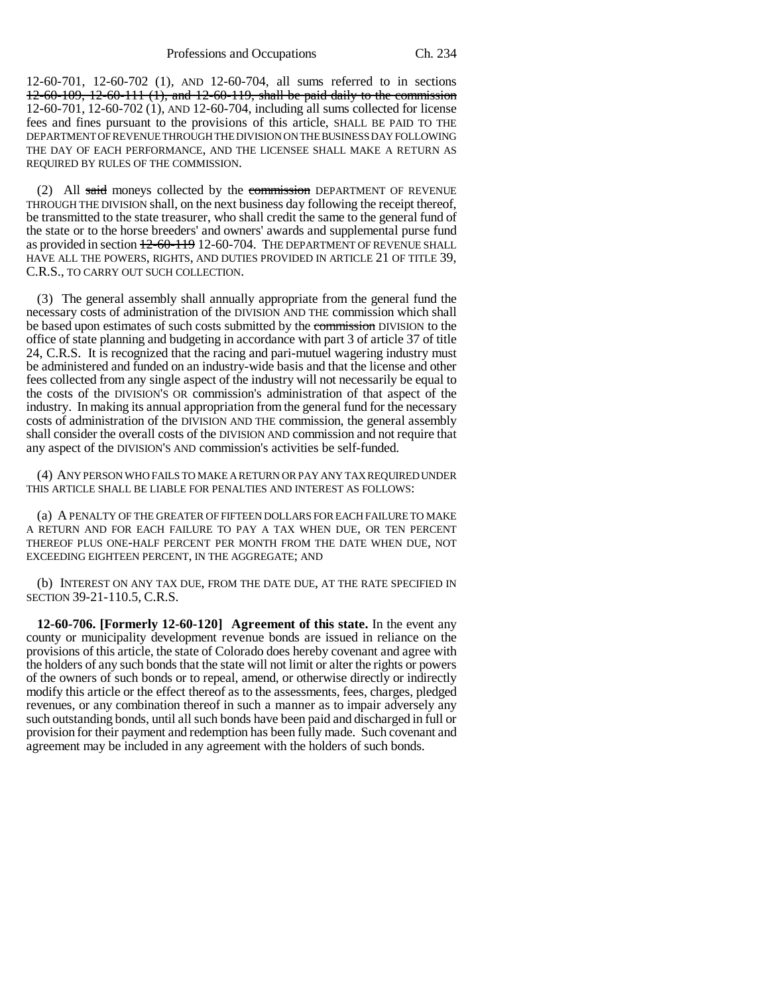12-60-701, 12-60-702 (1), AND 12-60-704, all sums referred to in sections 12-60-109, 12-60-111 (1), and 12-60-119, shall be paid daily to the commission 12-60-701, 12-60-702 (1), AND 12-60-704, including all sums collected for license fees and fines pursuant to the provisions of this article, SHALL BE PAID TO THE DEPARTMENT OF REVENUE THROUGH THE DIVISION ON THE BUSINESS DAY FOLLOWING THE DAY OF EACH PERFORMANCE, AND THE LICENSEE SHALL MAKE A RETURN AS REQUIRED BY RULES OF THE COMMISSION.

(2) All said moneys collected by the commission DEPARTMENT OF REVENUE THROUGH THE DIVISION shall, on the next business day following the receipt thereof, be transmitted to the state treasurer, who shall credit the same to the general fund of the state or to the horse breeders' and owners' awards and supplemental purse fund as provided in section  $\frac{12-60-119}{2}$  12-60-704. The DEPARTMENT OF REVENUE SHALL HAVE ALL THE POWERS, RIGHTS, AND DUTIES PROVIDED IN ARTICLE 21 OF TITLE 39, C.R.S., TO CARRY OUT SUCH COLLECTION.

(3) The general assembly shall annually appropriate from the general fund the necessary costs of administration of the DIVISION AND THE commission which shall be based upon estimates of such costs submitted by the commission DIVISION to the office of state planning and budgeting in accordance with part 3 of article 37 of title 24, C.R.S. It is recognized that the racing and pari-mutuel wagering industry must be administered and funded on an industry-wide basis and that the license and other fees collected from any single aspect of the industry will not necessarily be equal to the costs of the DIVISION'S OR commission's administration of that aspect of the industry. In making its annual appropriation from the general fund for the necessary costs of administration of the DIVISION AND THE commission, the general assembly shall consider the overall costs of the DIVISION AND commission and not require that any aspect of the DIVISION'S AND commission's activities be self-funded.

(4) ANY PERSON WHO FAILS TO MAKE A RETURN OR PAY ANY TAX REQUIRED UNDER THIS ARTICLE SHALL BE LIABLE FOR PENALTIES AND INTEREST AS FOLLOWS:

(a) A PENALTY OF THE GREATER OF FIFTEEN DOLLARS FOR EACH FAILURE TO MAKE A RETURN AND FOR EACH FAILURE TO PAY A TAX WHEN DUE, OR TEN PERCENT THEREOF PLUS ONE-HALF PERCENT PER MONTH FROM THE DATE WHEN DUE, NOT EXCEEDING EIGHTEEN PERCENT, IN THE AGGREGATE; AND

(b) INTEREST ON ANY TAX DUE, FROM THE DATE DUE, AT THE RATE SPECIFIED IN SECTION 39-21-110.5, C.R.S.

**12-60-706. [Formerly 12-60-120] Agreement of this state.** In the event any county or municipality development revenue bonds are issued in reliance on the provisions of this article, the state of Colorado does hereby covenant and agree with the holders of any such bonds that the state will not limit or alter the rights or powers of the owners of such bonds or to repeal, amend, or otherwise directly or indirectly modify this article or the effect thereof as to the assessments, fees, charges, pledged revenues, or any combination thereof in such a manner as to impair adversely any such outstanding bonds, until all such bonds have been paid and discharged in full or provision for their payment and redemption has been fully made. Such covenant and agreement may be included in any agreement with the holders of such bonds.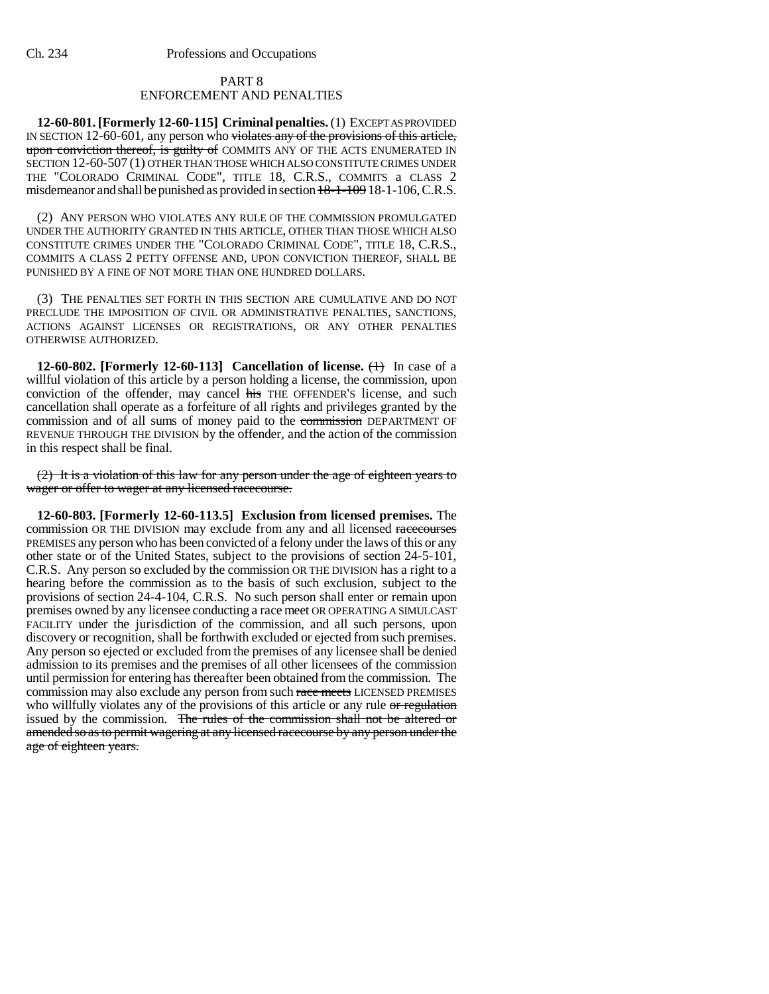## PART 8 ENFORCEMENT AND PENALTIES

**12-60-801. [Formerly 12-60-115] Criminal penalties.** (1) EXCEPT AS PROVIDED IN SECTION 12-60-601, any person who violates any of the provisions of this article, upon conviction thereof, is guilty of COMMITS ANY OF THE ACTS ENUMERATED IN SECTION 12-60-507 (1) OTHER THAN THOSE WHICH ALSO CONSTITUTE CRIMES UNDER THE "COLORADO CRIMINAL CODE", TITLE 18, C.R.S., COMMITS a CLASS 2 misdemeanor and shall be punished as provided in section  $18-1-109$  18-1-106, C.R.S.

(2) ANY PERSON WHO VIOLATES ANY RULE OF THE COMMISSION PROMULGATED UNDER THE AUTHORITY GRANTED IN THIS ARTICLE, OTHER THAN THOSE WHICH ALSO CONSTITUTE CRIMES UNDER THE "COLORADO CRIMINAL CODE", TITLE 18, C.R.S., COMMITS A CLASS 2 PETTY OFFENSE AND, UPON CONVICTION THEREOF, SHALL BE PUNISHED BY A FINE OF NOT MORE THAN ONE HUNDRED DOLLARS.

(3) THE PENALTIES SET FORTH IN THIS SECTION ARE CUMULATIVE AND DO NOT PRECLUDE THE IMPOSITION OF CIVIL OR ADMINISTRATIVE PENALTIES, SANCTIONS, ACTIONS AGAINST LICENSES OR REGISTRATIONS, OR ANY OTHER PENALTIES OTHERWISE AUTHORIZED.

**12-60-802.** [Formerly 12-60-113] Cancellation of license.  $\left(\frac{1}{1}\right)$  In case of a willful violation of this article by a person holding a license, the commission, upon conviction of the offender, may cancel his THE OFFENDER'S license, and such cancellation shall operate as a forfeiture of all rights and privileges granted by the commission and of all sums of money paid to the commission DEPARTMENT OF REVENUE THROUGH THE DIVISION by the offender, and the action of the commission in this respect shall be final.

(2) It is a violation of this law for any person under the age of eighteen years to wager or offer to wager at any licensed racecourse.

**12-60-803. [Formerly 12-60-113.5] Exclusion from licensed premises.** The commission OR THE DIVISION may exclude from any and all licensed racecourses PREMISES any person who has been convicted of a felony under the laws of this or any other state or of the United States, subject to the provisions of section 24-5-101, C.R.S. Any person so excluded by the commission OR THE DIVISION has a right to a hearing before the commission as to the basis of such exclusion, subject to the provisions of section 24-4-104, C.R.S. No such person shall enter or remain upon premises owned by any licensee conducting a race meet OR OPERATING A SIMULCAST FACILITY under the jurisdiction of the commission, and all such persons, upon discovery or recognition, shall be forthwith excluded or ejected from such premises. Any person so ejected or excluded from the premises of any licensee shall be denied admission to its premises and the premises of all other licensees of the commission until permission for entering has thereafter been obtained from the commission. The commission may also exclude any person from such race meets LICENSED PREMISES who willfully violates any of the provisions of this article or any rule or regulation issued by the commission. The rules of the commission shall not be altered or amended so as to permit wagering at any licensed racecourse by any person under the age of eighteen years.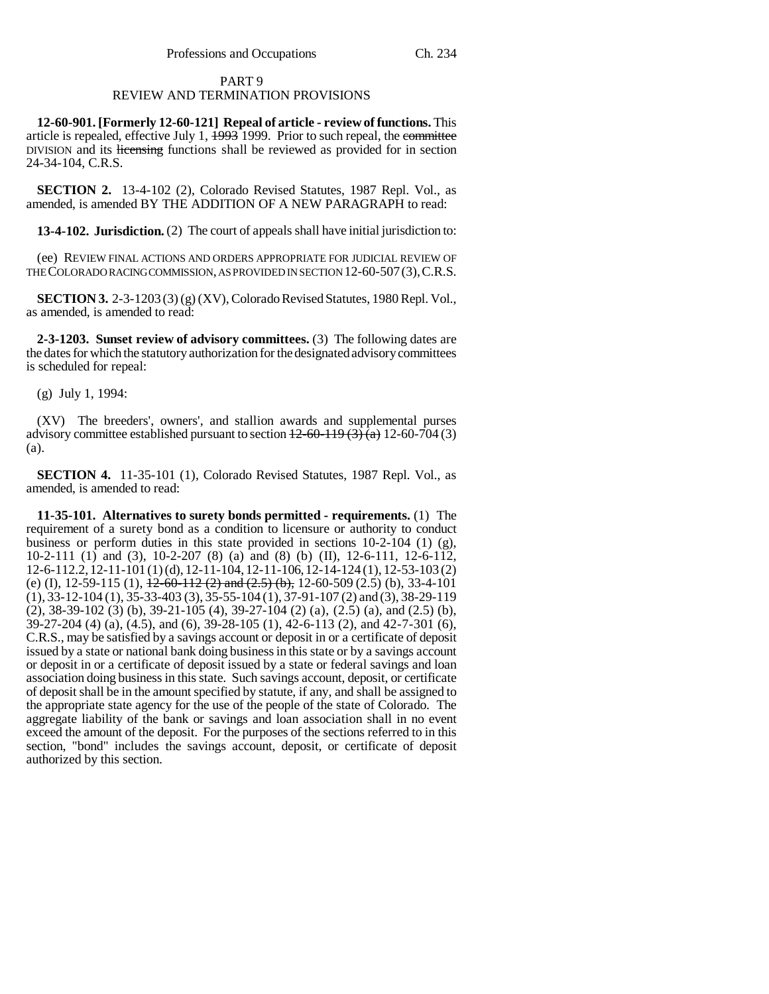## Professions and Occupations Ch. 234

# PART 9

# REVIEW AND TERMINATION PROVISIONS

**12-60-901. [Formerly 12-60-121] Repeal of article - review of functions.** This article is repealed, effective July 1,  $\frac{1993}{1999}$ . Prior to such repeal, the committee DIVISION and its licensing functions shall be reviewed as provided for in section 24-34-104, C.R.S.

**SECTION 2.** 13-4-102 (2), Colorado Revised Statutes, 1987 Repl. Vol., as amended, is amended BY THE ADDITION OF A NEW PARAGRAPH to read:

**13-4-102. Jurisdiction.** (2) The court of appeals shall have initial jurisdiction to:

(ee) REVIEW FINAL ACTIONS AND ORDERS APPROPRIATE FOR JUDICIAL REVIEW OF THE COLORADO RACING COMMISSION, AS PROVIDED IN SECTION 12-60-507(3),C.R.S.

**SECTION 3.** 2-3-1203 (3) (g) (XV), Colorado Revised Statutes, 1980 Repl. Vol., as amended, is amended to read:

**2-3-1203. Sunset review of advisory committees.** (3) The following dates are the dates for which the statutory authorization for the designated advisory committees is scheduled for repeal:

(g) July 1, 1994:

(XV) The breeders', owners', and stallion awards and supplemental purses advisory committee established pursuant to section  $\frac{12-60-119(3)}{a}$  12-60-704 (3) (a).

**SECTION 4.** 11-35-101 (1), Colorado Revised Statutes, 1987 Repl. Vol., as amended, is amended to read:

**11-35-101. Alternatives to surety bonds permitted - requirements.** (1) The requirement of a surety bond as a condition to licensure or authority to conduct business or perform duties in this state provided in sections 10-2-104 (1) (g), 10-2-111 (1) and (3), 10-2-207 (8) (a) and (8) (b) (II), 12-6-111, 12-6-112, 12-6-112.2, 12-11-101 (1) (d), 12-11-104, 12-11-106, 12-14-124 (1), 12-53-103 (2) (e) (I), 12-59-115 (1),  $\frac{12-60-112(2)}{2}$  and  $\left(\frac{2.5}{b}\right)$ , 12-60-509 (2.5) (b), 33-4-101 (1), 33-12-104 (1), 35-33-403 (3), 35-55-104 (1), 37-91-107 (2) and (3), 38-29-119 (2), 38-39-102 (3) (b), 39-21-105 (4), 39-27-104 (2) (a), (2.5) (a), and (2.5) (b), 39-27-204 (4) (a), (4.5), and (6), 39-28-105 (1), 42-6-113 (2), and 42-7-301 (6), C.R.S., may be satisfied by a savings account or deposit in or a certificate of deposit issued by a state or national bank doing business in this state or by a savings account or deposit in or a certificate of deposit issued by a state or federal savings and loan association doing business in this state. Such savings account, deposit, or certificate of deposit shall be in the amount specified by statute, if any, and shall be assigned to the appropriate state agency for the use of the people of the state of Colorado. The aggregate liability of the bank or savings and loan association shall in no event exceed the amount of the deposit. For the purposes of the sections referred to in this section, "bond" includes the savings account, deposit, or certificate of deposit authorized by this section.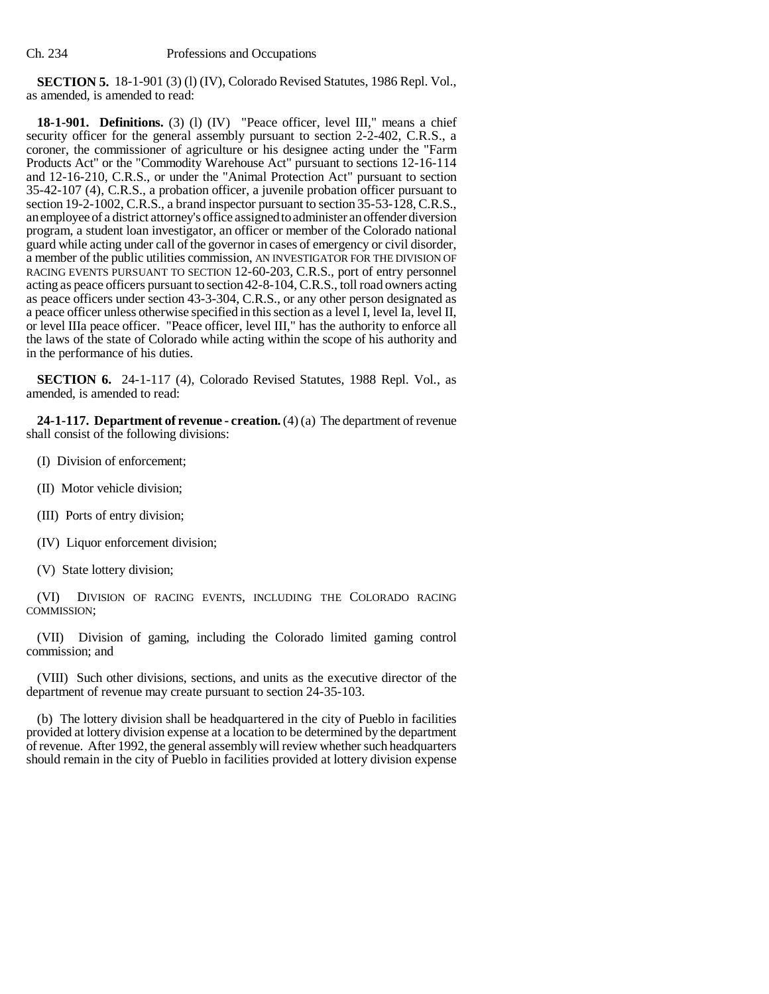**SECTION 5.** 18-1-901 (3) (l) (IV), Colorado Revised Statutes, 1986 Repl. Vol., as amended, is amended to read:

**18-1-901. Definitions.** (3) (l) (IV) "Peace officer, level III," means a chief security officer for the general assembly pursuant to section 2-2-402, C.R.S., a coroner, the commissioner of agriculture or his designee acting under the "Farm Products Act" or the "Commodity Warehouse Act" pursuant to sections 12-16-114 and 12-16-210, C.R.S., or under the "Animal Protection Act" pursuant to section 35-42-107 (4), C.R.S., a probation officer, a juvenile probation officer pursuant to section 19-2-1002, C.R.S., a brand inspector pursuant to section 35-53-128, C.R.S., an employee of a district attorney's office assigned to administer an offender diversion program, a student loan investigator, an officer or member of the Colorado national guard while acting under call of the governor in cases of emergency or civil disorder, a member of the public utilities commission, AN INVESTIGATOR FOR THE DIVISION OF RACING EVENTS PURSUANT TO SECTION 12-60-203, C.R.S., port of entry personnel acting as peace officers pursuant to section 42-8-104, C.R.S., toll road owners acting as peace officers under section 43-3-304, C.R.S., or any other person designated as a peace officer unless otherwise specified in this section as a level I, level Ia, level II, or level IIIa peace officer. "Peace officer, level III," has the authority to enforce all the laws of the state of Colorado while acting within the scope of his authority and in the performance of his duties.

**SECTION 6.** 24-1-117 (4), Colorado Revised Statutes, 1988 Repl. Vol., as amended, is amended to read:

**24-1-117. Department of revenue - creation.** (4) (a) The department of revenue shall consist of the following divisions:

- (I) Division of enforcement;
- (II) Motor vehicle division;
- (III) Ports of entry division;
- (IV) Liquor enforcement division;
- (V) State lottery division;

(VI) DIVISION OF RACING EVENTS, INCLUDING THE COLORADO RACING COMMISSION;

(VII) Division of gaming, including the Colorado limited gaming control commission; and

(VIII) Such other divisions, sections, and units as the executive director of the department of revenue may create pursuant to section 24-35-103.

(b) The lottery division shall be headquartered in the city of Pueblo in facilities provided at lottery division expense at a location to be determined by the department of revenue. After 1992, the general assembly will review whether such headquarters should remain in the city of Pueblo in facilities provided at lottery division expense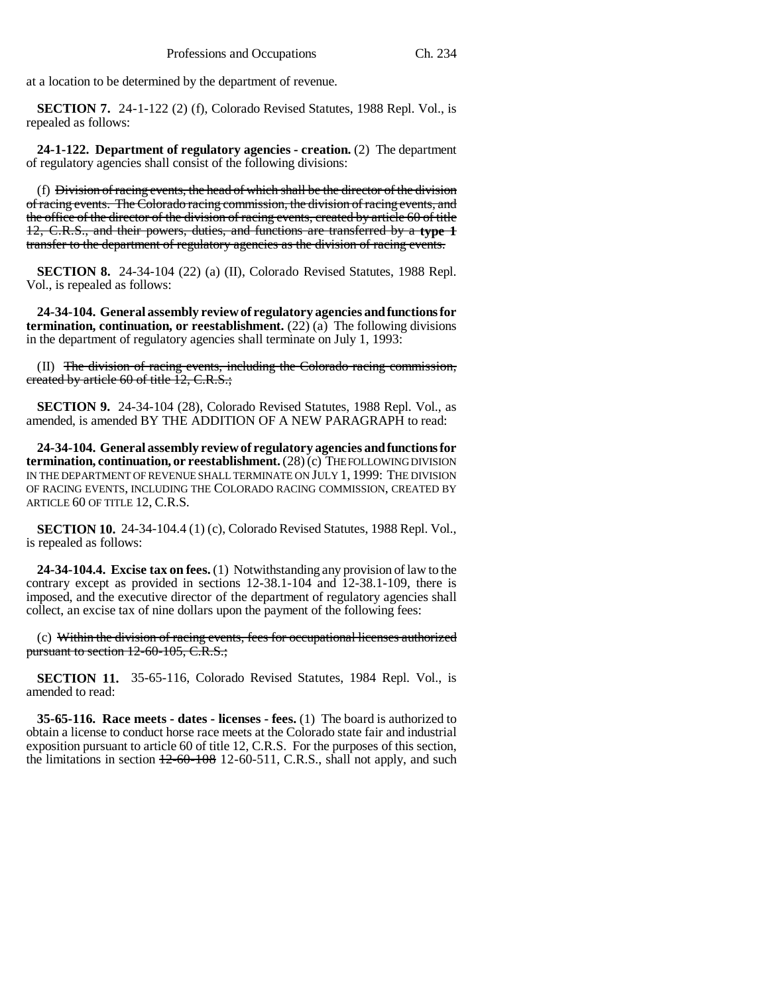at a location to be determined by the department of revenue.

**SECTION 7.** 24-1-122 (2) (f), Colorado Revised Statutes, 1988 Repl. Vol., is repealed as follows:

**24-1-122. Department of regulatory agencies - creation.** (2) The department of regulatory agencies shall consist of the following divisions:

(f) Division of racing events, the head of which shall be the director of the division of racing events. The Colorado racing commission, the division of racing events, and the office of the director of the division of racing events, created by article 60 of title 12, C.R.S., and their powers, duties, and functions are transferred by a **type 1** transfer to the department of regulatory agencies as the division of racing events.

**SECTION 8.** 24-34-104 (22) (a) (II), Colorado Revised Statutes, 1988 Repl. Vol., is repealed as follows:

**24-34-104. General assembly review of regulatory agencies and functions for termination, continuation, or reestablishment.**  $(22)$  (a) The following divisions in the department of regulatory agencies shall terminate on July 1, 1993:

(II) The division of racing events, including the Colorado racing commission, created by article 60 of title 12, C.R.S.;

**SECTION 9.** 24-34-104 (28), Colorado Revised Statutes, 1988 Repl. Vol., as amended, is amended BY THE ADDITION OF A NEW PARAGRAPH to read:

**24-34-104. General assembly review of regulatory agencies and functions for termination, continuation, or reestablishment.** (28) (c) THE FOLLOWING DIVISION IN THE DEPARTMENT OF REVENUE SHALL TERMINATE ON JULY 1, 1999: THE DIVISION OF RACING EVENTS, INCLUDING THE COLORADO RACING COMMISSION, CREATED BY ARTICLE 60 OF TITLE 12, C.R.S.

**SECTION 10.** 24-34-104.4 (1) (c), Colorado Revised Statutes, 1988 Repl. Vol., is repealed as follows:

**24-34-104.4. Excise tax on fees.** (1) Notwithstanding any provision of law to the contrary except as provided in sections 12-38.1-104 and 12-38.1-109, there is imposed, and the executive director of the department of regulatory agencies shall collect, an excise tax of nine dollars upon the payment of the following fees:

(c) Within the division of racing events, fees for occupational licenses authorized pursuant to section 12-60-105, C.R.S.;

**SECTION 11.** 35-65-116, Colorado Revised Statutes, 1984 Repl. Vol., is amended to read:

**35-65-116. Race meets - dates - licenses - fees.** (1) The board is authorized to obtain a license to conduct horse race meets at the Colorado state fair and industrial exposition pursuant to article 60 of title 12, C.R.S. For the purposes of this section, the limitations in section  $12-60-108$  12-60-511, C.R.S., shall not apply, and such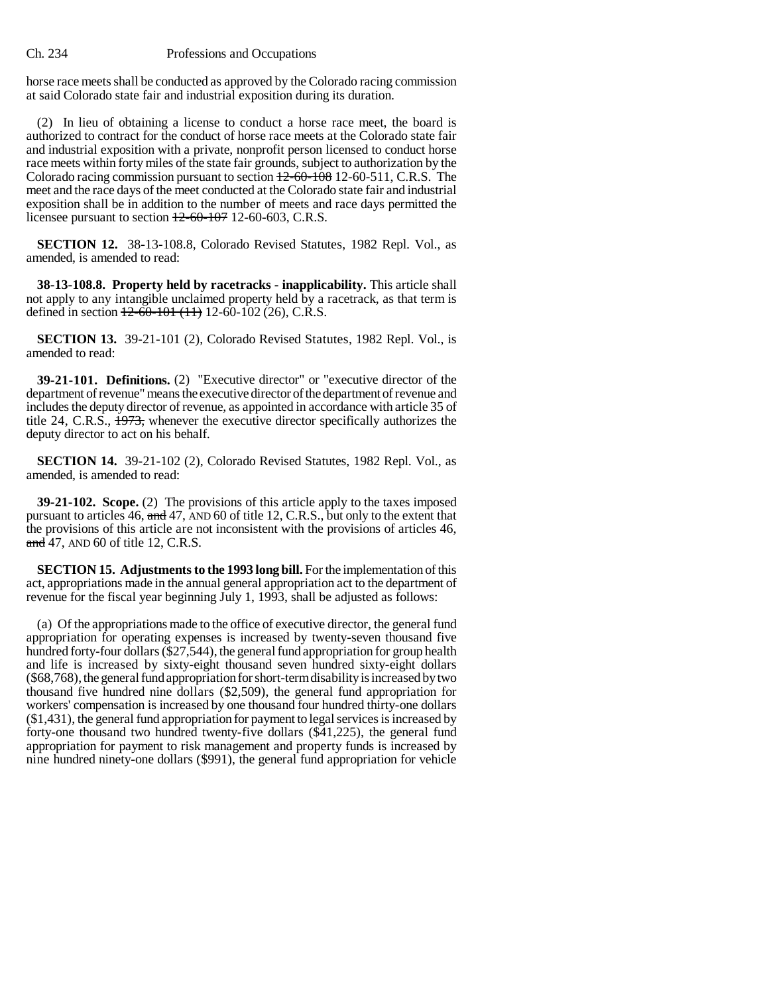horse race meets shall be conducted as approved by the Colorado racing commission at said Colorado state fair and industrial exposition during its duration.

(2) In lieu of obtaining a license to conduct a horse race meet, the board is authorized to contract for the conduct of horse race meets at the Colorado state fair and industrial exposition with a private, nonprofit person licensed to conduct horse race meets within forty miles of the state fair grounds, subject to authorization by the Colorado racing commission pursuant to section 12-60-108 12-60-511, C.R.S. The meet and the race days of the meet conducted at the Colorado state fair and industrial exposition shall be in addition to the number of meets and race days permitted the licensee pursuant to section  $+2-60-107$  12-60-603, C.R.S.

**SECTION 12.** 38-13-108.8, Colorado Revised Statutes, 1982 Repl. Vol., as amended, is amended to read:

**38-13-108.8. Property held by racetracks - inapplicability.** This article shall not apply to any intangible unclaimed property held by a racetrack, as that term is defined in section  $12-60-101$  (11) 12-60-102 (26), C.R.S.

**SECTION 13.** 39-21-101 (2), Colorado Revised Statutes, 1982 Repl. Vol., is amended to read:

**39-21-101. Definitions.** (2) "Executive director" or "executive director of the department of revenue" means the executive director of the department of revenue and includes the deputy director of revenue, as appointed in accordance with article 35 of title 24, C.R.S., 1973, whenever the executive director specifically authorizes the deputy director to act on his behalf.

**SECTION 14.** 39-21-102 (2), Colorado Revised Statutes, 1982 Repl. Vol., as amended, is amended to read:

**39-21-102. Scope.** (2) The provisions of this article apply to the taxes imposed pursuant to articles 46, and 47, AND 60 of title 12, C.R.S., but only to the extent that the provisions of this article are not inconsistent with the provisions of articles 46, and 47, AND 60 of title 12, C.R.S.

**SECTION 15. Adjustments to the 1993 long bill.** For the implementation of this act, appropriations made in the annual general appropriation act to the department of revenue for the fiscal year beginning July 1, 1993, shall be adjusted as follows:

(a) Of the appropriations made to the office of executive director, the general fund appropriation for operating expenses is increased by twenty-seven thousand five hundred forty-four dollars (\$27,544), the general fund appropriation for group health and life is increased by sixty-eight thousand seven hundred sixty-eight dollars (\$68,768), the general fund appropriation for short-term disability is increased by two thousand five hundred nine dollars (\$2,509), the general fund appropriation for workers' compensation is increased by one thousand four hundred thirty-one dollars (\$1,431), the general fund appropriation for payment to legal services is increased by forty-one thousand two hundred twenty-five dollars (\$41,225), the general fund appropriation for payment to risk management and property funds is increased by nine hundred ninety-one dollars (\$991), the general fund appropriation for vehicle